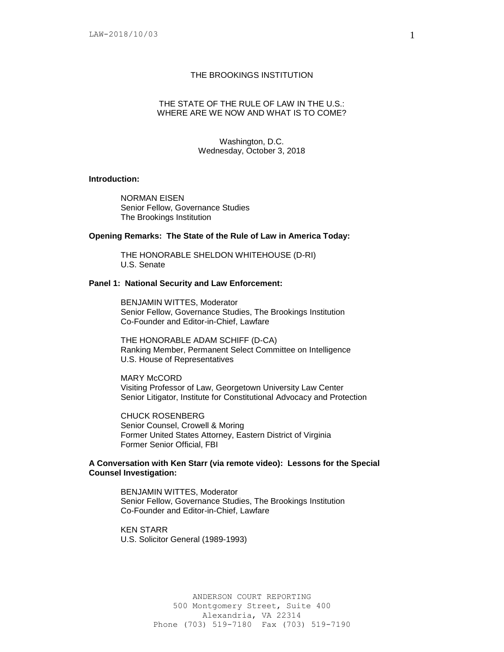#### THE BROOKINGS INSTITUTION

# THE STATE OF THE RULE OF LAW IN THE U.S.: WHERE ARE WE NOW AND WHAT IS TO COME?

Washington, D.C. Wednesday, October 3, 2018

### **Introduction:**

NORMAN EISEN Senior Fellow, Governance Studies The Brookings Institution

### **Opening Remarks: The State of the Rule of Law in America Today:**

THE HONORABLE SHELDON WHITEHOUSE (D-RI) U.S. Senate

### **Panel 1: National Security and Law Enforcement:**

BENJAMIN WITTES, Moderator Senior Fellow, Governance Studies, The Brookings Institution Co-Founder and Editor-in-Chief, Lawfare

THE HONORABLE ADAM SCHIFF (D-CA) Ranking Member, Permanent Select Committee on Intelligence U.S. House of Representatives

MARY McCORD Visiting Professor of Law, Georgetown University Law Center Senior Litigator, Institute for Constitutional Advocacy and Protection

CHUCK ROSENBERG Senior Counsel, Crowell & Moring Former United States Attorney, Eastern District of Virginia Former Senior Official, FBI

# **A Conversation with Ken Starr (via remote video): Lessons for the Special Counsel Investigation:**

BENJAMIN WITTES, Moderator Senior Fellow, Governance Studies, The Brookings Institution Co-Founder and Editor-in-Chief, Lawfare

KEN STARR U.S. Solicitor General (1989-1993)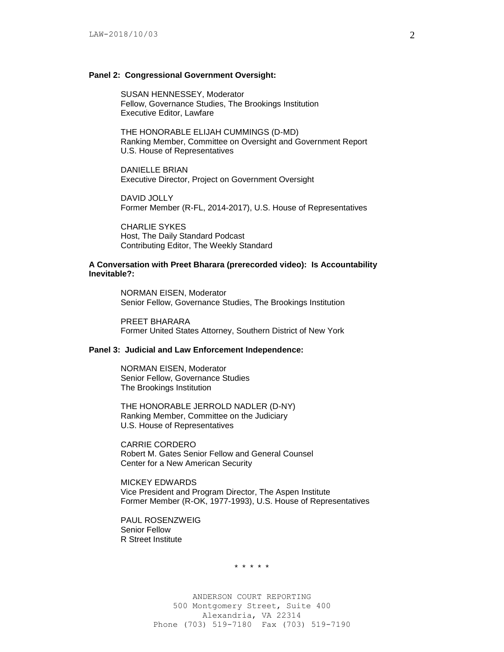#### **Panel 2: Congressional Government Oversight:**

SUSAN HENNESSEY, Moderator Fellow, Governance Studies, The Brookings Institution Executive Editor, Lawfare

THE HONORABLE ELIJAH CUMMINGS (D-MD) Ranking Member, Committee on Oversight and Government Report U.S. House of Representatives

DANIELLE BRIAN Executive Director, Project on Government Oversight

DAVID JOLLY Former Member (R-FL, 2014-2017), U.S. House of Representatives

CHARLIE SYKES Host, The Daily Standard Podcast Contributing Editor, The Weekly Standard

### **A Conversation with Preet Bharara (prerecorded video): Is Accountability Inevitable?:**

NORMAN EISEN, Moderator Senior Fellow, Governance Studies, The Brookings Institution

PREET BHARARA Former United States Attorney, Southern District of New York

# **Panel 3: Judicial and Law Enforcement Independence:**

NORMAN EISEN, Moderator Senior Fellow, Governance Studies The Brookings Institution

THE HONORABLE JERROLD NADLER (D-NY) Ranking Member, Committee on the Judiciary U.S. House of Representatives

CARRIE CORDERO Robert M. Gates Senior Fellow and General Counsel Center for a New American Security

MICKEY EDWARDS Vice President and Program Director, The Aspen Institute Former Member (R-OK, 1977-1993), U.S. House of Representatives

PAUL ROSENZWEIG Senior Fellow R Street Institute

\* \* \* \* \*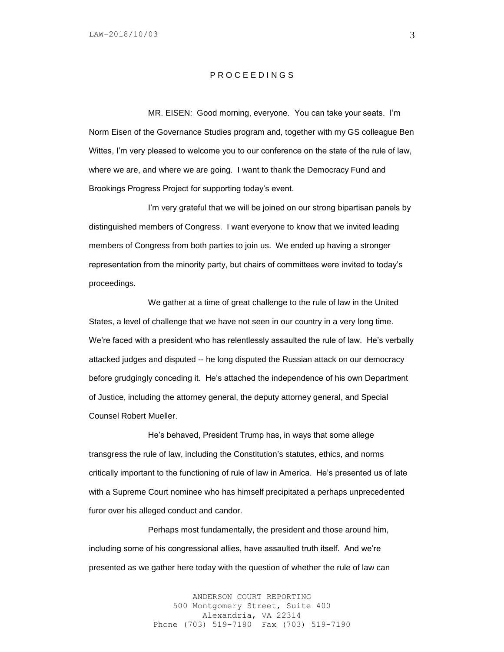# P R O C E E D I N G S

MR. EISEN: Good morning, everyone. You can take your seats. I'm Norm Eisen of the Governance Studies program and, together with my GS colleague Ben Wittes, I'm very pleased to welcome you to our conference on the state of the rule of law, where we are, and where we are going. I want to thank the Democracy Fund and Brookings Progress Project for supporting today's event.

I'm very grateful that we will be joined on our strong bipartisan panels by distinguished members of Congress. I want everyone to know that we invited leading members of Congress from both parties to join us. We ended up having a stronger representation from the minority party, but chairs of committees were invited to today's proceedings.

We gather at a time of great challenge to the rule of law in the United States, a level of challenge that we have not seen in our country in a very long time. We're faced with a president who has relentlessly assaulted the rule of law. He's verbally attacked judges and disputed -- he long disputed the Russian attack on our democracy before grudgingly conceding it. He's attached the independence of his own Department of Justice, including the attorney general, the deputy attorney general, and Special Counsel Robert Mueller.

He's behaved, President Trump has, in ways that some allege transgress the rule of law, including the Constitution's statutes, ethics, and norms critically important to the functioning of rule of law in America. He's presented us of late with a Supreme Court nominee who has himself precipitated a perhaps unprecedented furor over his alleged conduct and candor.

Perhaps most fundamentally, the president and those around him, including some of his congressional allies, have assaulted truth itself. And we're presented as we gather here today with the question of whether the rule of law can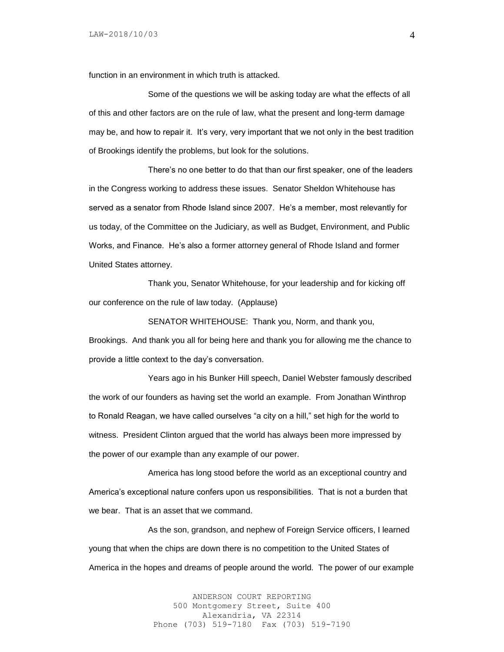function in an environment in which truth is attacked.

Some of the questions we will be asking today are what the effects of all of this and other factors are on the rule of law, what the present and long-term damage may be, and how to repair it. It's very, very important that we not only in the best tradition of Brookings identify the problems, but look for the solutions.

There's no one better to do that than our first speaker, one of the leaders in the Congress working to address these issues. Senator Sheldon Whitehouse has served as a senator from Rhode Island since 2007. He's a member, most relevantly for us today, of the Committee on the Judiciary, as well as Budget, Environment, and Public Works, and Finance. He's also a former attorney general of Rhode Island and former United States attorney.

Thank you, Senator Whitehouse, for your leadership and for kicking off our conference on the rule of law today. (Applause)

SENATOR WHITEHOUSE: Thank you, Norm, and thank you,

Brookings. And thank you all for being here and thank you for allowing me the chance to provide a little context to the day's conversation.

Years ago in his Bunker Hill speech, Daniel Webster famously described the work of our founders as having set the world an example. From Jonathan Winthrop to Ronald Reagan, we have called ourselves "a city on a hill," set high for the world to witness. President Clinton argued that the world has always been more impressed by the power of our example than any example of our power.

America has long stood before the world as an exceptional country and America's exceptional nature confers upon us responsibilities. That is not a burden that we bear. That is an asset that we command.

As the son, grandson, and nephew of Foreign Service officers, I learned young that when the chips are down there is no competition to the United States of America in the hopes and dreams of people around the world. The power of our example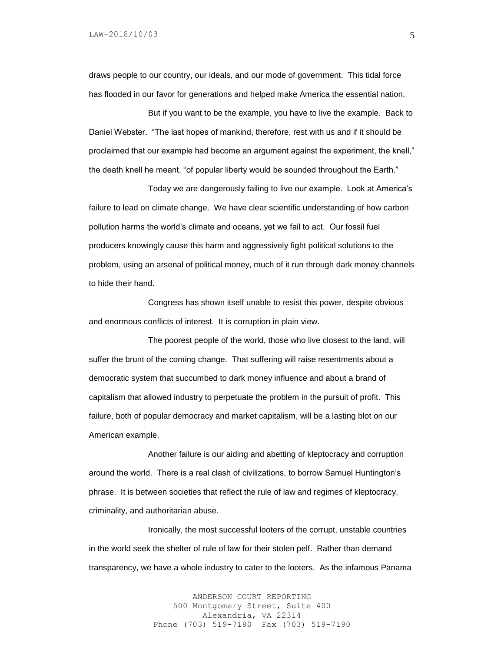draws people to our country, our ideals, and our mode of government. This tidal force has flooded in our favor for generations and helped make America the essential nation.

But if you want to be the example, you have to live the example. Back to Daniel Webster. "The last hopes of mankind, therefore, rest with us and if it should be proclaimed that our example had become an argument against the experiment, the knell," the death knell he meant, "of popular liberty would be sounded throughout the Earth."

Today we are dangerously failing to live our example. Look at America's failure to lead on climate change. We have clear scientific understanding of how carbon pollution harms the world's climate and oceans, yet we fail to act. Our fossil fuel producers knowingly cause this harm and aggressively fight political solutions to the problem, using an arsenal of political money, much of it run through dark money channels to hide their hand.

Congress has shown itself unable to resist this power, despite obvious and enormous conflicts of interest. It is corruption in plain view.

The poorest people of the world, those who live closest to the land, will suffer the brunt of the coming change. That suffering will raise resentments about a democratic system that succumbed to dark money influence and about a brand of capitalism that allowed industry to perpetuate the problem in the pursuit of profit. This failure, both of popular democracy and market capitalism, will be a lasting blot on our American example.

Another failure is our aiding and abetting of kleptocracy and corruption around the world. There is a real clash of civilizations, to borrow Samuel Huntington's phrase. It is between societies that reflect the rule of law and regimes of kleptocracy, criminality, and authoritarian abuse.

Ironically, the most successful looters of the corrupt, unstable countries in the world seek the shelter of rule of law for their stolen pelf. Rather than demand transparency, we have a whole industry to cater to the looters. As the infamous Panama

> ANDERSON COURT REPORTING 500 Montgomery Street, Suite 400 Alexandria, VA 22314 Phone (703) 519-7180 Fax (703) 519-7190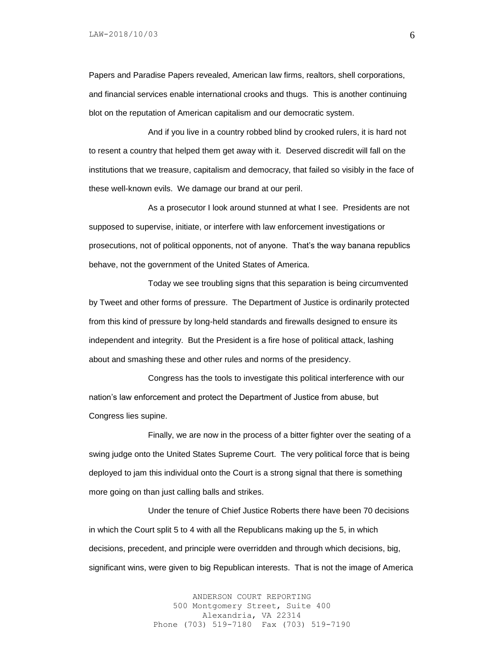Papers and Paradise Papers revealed, American law firms, realtors, shell corporations, and financial services enable international crooks and thugs. This is another continuing blot on the reputation of American capitalism and our democratic system.

And if you live in a country robbed blind by crooked rulers, it is hard not to resent a country that helped them get away with it. Deserved discredit will fall on the institutions that we treasure, capitalism and democracy, that failed so visibly in the face of these well-known evils. We damage our brand at our peril.

As a prosecutor I look around stunned at what I see. Presidents are not supposed to supervise, initiate, or interfere with law enforcement investigations or prosecutions, not of political opponents, not of anyone. That's the way banana republics behave, not the government of the United States of America.

Today we see troubling signs that this separation is being circumvented by Tweet and other forms of pressure. The Department of Justice is ordinarily protected from this kind of pressure by long-held standards and firewalls designed to ensure its independent and integrity. But the President is a fire hose of political attack, lashing about and smashing these and other rules and norms of the presidency.

Congress has the tools to investigate this political interference with our nation's law enforcement and protect the Department of Justice from abuse, but Congress lies supine.

Finally, we are now in the process of a bitter fighter over the seating of a swing judge onto the United States Supreme Court. The very political force that is being deployed to jam this individual onto the Court is a strong signal that there is something more going on than just calling balls and strikes.

Under the tenure of Chief Justice Roberts there have been 70 decisions in which the Court split 5 to 4 with all the Republicans making up the 5, in which decisions, precedent, and principle were overridden and through which decisions, big, significant wins, were given to big Republican interests. That is not the image of America

> ANDERSON COURT REPORTING 500 Montgomery Street, Suite 400 Alexandria, VA 22314 Phone (703) 519-7180 Fax (703) 519-7190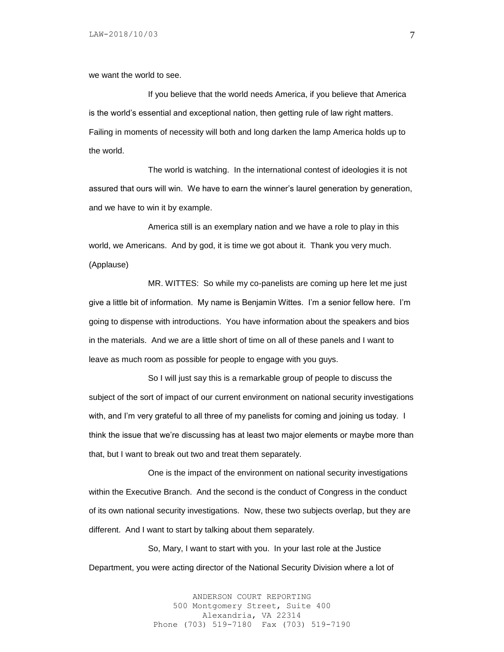we want the world to see.

If you believe that the world needs America, if you believe that America is the world's essential and exceptional nation, then getting rule of law right matters. Failing in moments of necessity will both and long darken the lamp America holds up to the world.

The world is watching. In the international contest of ideologies it is not assured that ours will win. We have to earn the winner's laurel generation by generation, and we have to win it by example.

America still is an exemplary nation and we have a role to play in this world, we Americans. And by god, it is time we got about it. Thank you very much. (Applause)

MR. WITTES: So while my co-panelists are coming up here let me just give a little bit of information. My name is Benjamin Wittes. I'm a senior fellow here. I'm going to dispense with introductions. You have information about the speakers and bios in the materials. And we are a little short of time on all of these panels and I want to leave as much room as possible for people to engage with you guys.

So I will just say this is a remarkable group of people to discuss the subject of the sort of impact of our current environment on national security investigations with, and I'm very grateful to all three of my panelists for coming and joining us today. I think the issue that we're discussing has at least two major elements or maybe more than that, but I want to break out two and treat them separately.

One is the impact of the environment on national security investigations within the Executive Branch. And the second is the conduct of Congress in the conduct of its own national security investigations. Now, these two subjects overlap, but they are different. And I want to start by talking about them separately.

So, Mary, I want to start with you. In your last role at the Justice Department, you were acting director of the National Security Division where a lot of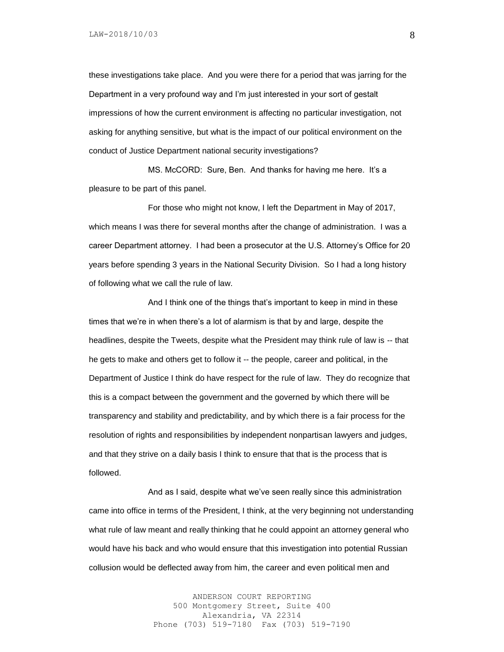these investigations take place. And you were there for a period that was jarring for the Department in a very profound way and I'm just interested in your sort of gestalt impressions of how the current environment is affecting no particular investigation, not asking for anything sensitive, but what is the impact of our political environment on the conduct of Justice Department national security investigations?

MS. McCORD: Sure, Ben. And thanks for having me here. It's a pleasure to be part of this panel.

For those who might not know, I left the Department in May of 2017, which means I was there for several months after the change of administration. I was a career Department attorney. I had been a prosecutor at the U.S. Attorney's Office for 20 years before spending 3 years in the National Security Division. So I had a long history of following what we call the rule of law.

And I think one of the things that's important to keep in mind in these times that we're in when there's a lot of alarmism is that by and large, despite the headlines, despite the Tweets, despite what the President may think rule of law is -- that he gets to make and others get to follow it -- the people, career and political, in the Department of Justice I think do have respect for the rule of law. They do recognize that this is a compact between the government and the governed by which there will be transparency and stability and predictability, and by which there is a fair process for the resolution of rights and responsibilities by independent nonpartisan lawyers and judges, and that they strive on a daily basis I think to ensure that that is the process that is followed.

And as I said, despite what we've seen really since this administration came into office in terms of the President, I think, at the very beginning not understanding what rule of law meant and really thinking that he could appoint an attorney general who would have his back and who would ensure that this investigation into potential Russian collusion would be deflected away from him, the career and even political men and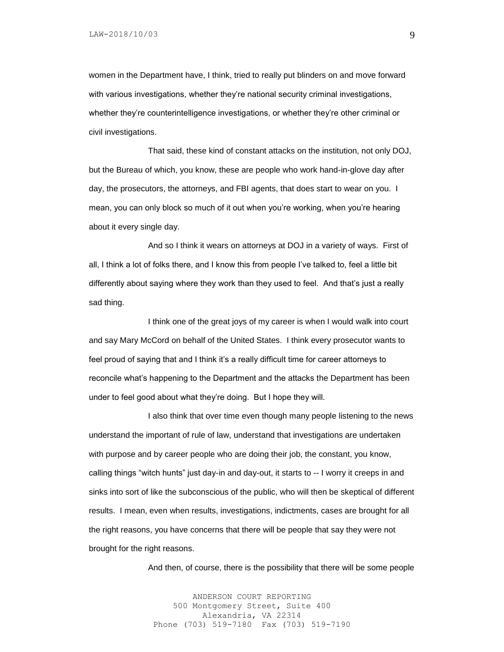women in the Department have, I think, tried to really put blinders on and move forward with various investigations, whether they're national security criminal investigations, whether they're counterintelligence investigations, or whether they're other criminal or civil investigations.

That said, these kind of constant attacks on the institution, not only DOJ, but the Bureau of which, you know, these are people who work hand-in-glove day after day, the prosecutors, the attorneys, and FBI agents, that does start to wear on you. I mean, you can only block so much of it out when you're working, when you're hearing about it every single day.

And so I think it wears on attorneys at DOJ in a variety of ways. First of all, I think a lot of folks there, and I know this from people I've talked to, feel a little bit differently about saying where they work than they used to feel. And that's just a really sad thing.

I think one of the great joys of my career is when I would walk into court and say Mary McCord on behalf of the United States. I think every prosecutor wants to feel proud of saying that and I think it's a really difficult time for career attorneys to reconcile what's happening to the Department and the attacks the Department has been under to feel good about what they're doing. But I hope they will.

I also think that over time even though many people listening to the news understand the important of rule of law, understand that investigations are undertaken with purpose and by career people who are doing their job, the constant, you know, calling things "witch hunts" just day-in and day-out, it starts to -- I worry it creeps in and sinks into sort of like the subconscious of the public, who will then be skeptical of different results. I mean, even when results, investigations, indictments, cases are brought for all the right reasons, you have concerns that there will be people that say they were not brought for the right reasons.

And then, of course, there is the possibility that there will be some people

ANDERSON COURT REPORTING 500 Montgomery Street, Suite 400 Alexandria, VA 22314 Phone (703) 519-7180 Fax (703) 519-7190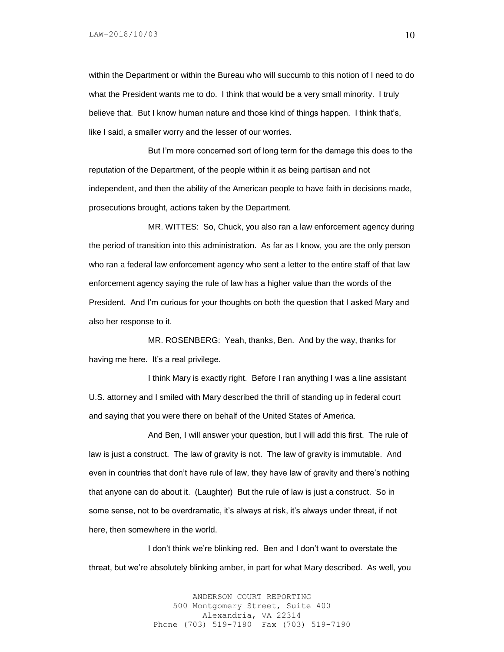within the Department or within the Bureau who will succumb to this notion of I need to do what the President wants me to do. I think that would be a very small minority. I truly believe that. But I know human nature and those kind of things happen. I think that's, like I said, a smaller worry and the lesser of our worries.

But I'm more concerned sort of long term for the damage this does to the reputation of the Department, of the people within it as being partisan and not independent, and then the ability of the American people to have faith in decisions made, prosecutions brought, actions taken by the Department.

MR. WITTES: So, Chuck, you also ran a law enforcement agency during the period of transition into this administration. As far as I know, you are the only person who ran a federal law enforcement agency who sent a letter to the entire staff of that law enforcement agency saying the rule of law has a higher value than the words of the President. And I'm curious for your thoughts on both the question that I asked Mary and also her response to it.

MR. ROSENBERG: Yeah, thanks, Ben. And by the way, thanks for having me here. It's a real privilege.

I think Mary is exactly right. Before I ran anything I was a line assistant U.S. attorney and I smiled with Mary described the thrill of standing up in federal court and saying that you were there on behalf of the United States of America.

And Ben, I will answer your question, but I will add this first. The rule of law is just a construct. The law of gravity is not. The law of gravity is immutable. And even in countries that don't have rule of law, they have law of gravity and there's nothing that anyone can do about it. (Laughter) But the rule of law is just a construct. So in some sense, not to be overdramatic, it's always at risk, it's always under threat, if not here, then somewhere in the world.

I don't think we're blinking red. Ben and I don't want to overstate the threat, but we're absolutely blinking amber, in part for what Mary described. As well, you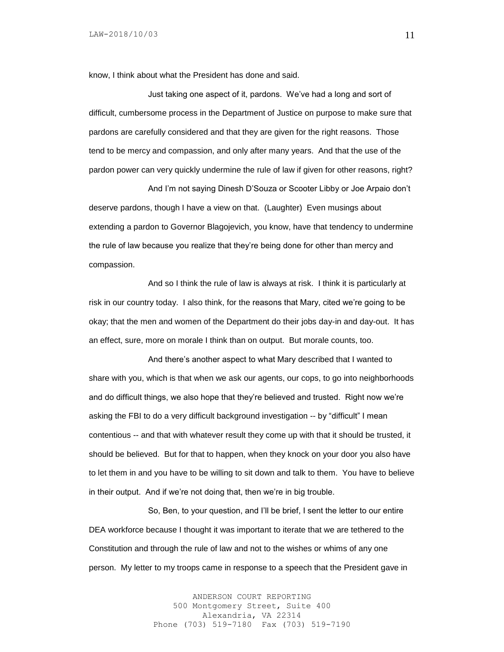know, I think about what the President has done and said.

Just taking one aspect of it, pardons. We've had a long and sort of difficult, cumbersome process in the Department of Justice on purpose to make sure that pardons are carefully considered and that they are given for the right reasons. Those tend to be mercy and compassion, and only after many years. And that the use of the pardon power can very quickly undermine the rule of law if given for other reasons, right?

And I'm not saying Dinesh D'Souza or Scooter Libby or Joe Arpaio don't deserve pardons, though I have a view on that. (Laughter) Even musings about extending a pardon to Governor Blagojevich, you know, have that tendency to undermine the rule of law because you realize that they're being done for other than mercy and compassion.

And so I think the rule of law is always at risk. I think it is particularly at risk in our country today. I also think, for the reasons that Mary, cited we're going to be okay; that the men and women of the Department do their jobs day-in and day-out. It has an effect, sure, more on morale I think than on output. But morale counts, too.

And there's another aspect to what Mary described that I wanted to share with you, which is that when we ask our agents, our cops, to go into neighborhoods and do difficult things, we also hope that they're believed and trusted. Right now we're asking the FBI to do a very difficult background investigation -- by "difficult" I mean contentious -- and that with whatever result they come up with that it should be trusted, it should be believed. But for that to happen, when they knock on your door you also have to let them in and you have to be willing to sit down and talk to them. You have to believe in their output. And if we're not doing that, then we're in big trouble.

So, Ben, to your question, and I'll be brief, I sent the letter to our entire DEA workforce because I thought it was important to iterate that we are tethered to the Constitution and through the rule of law and not to the wishes or whims of any one person. My letter to my troops came in response to a speech that the President gave in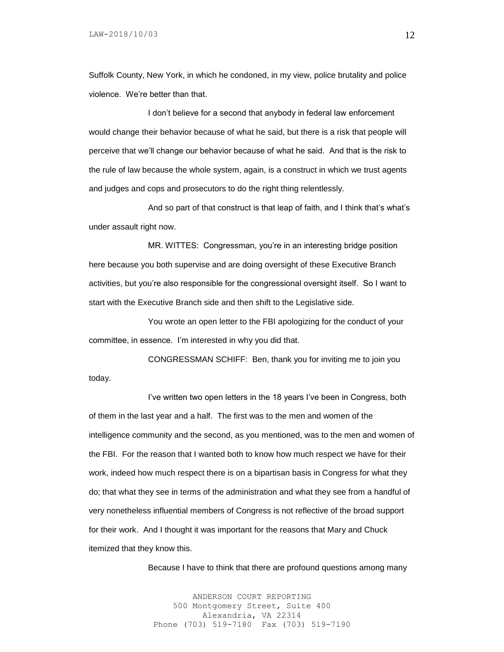Suffolk County, New York, in which he condoned, in my view, police brutality and police violence. We're better than that.

I don't believe for a second that anybody in federal law enforcement would change their behavior because of what he said, but there is a risk that people will perceive that we'll change our behavior because of what he said. And that is the risk to the rule of law because the whole system, again, is a construct in which we trust agents and judges and cops and prosecutors to do the right thing relentlessly.

And so part of that construct is that leap of faith, and I think that's what's under assault right now.

MR. WITTES: Congressman, you're in an interesting bridge position here because you both supervise and are doing oversight of these Executive Branch activities, but you're also responsible for the congressional oversight itself. So I want to start with the Executive Branch side and then shift to the Legislative side.

You wrote an open letter to the FBI apologizing for the conduct of your committee, in essence. I'm interested in why you did that.

CONGRESSMAN SCHIFF: Ben, thank you for inviting me to join you today.

I've written two open letters in the 18 years I've been in Congress, both of them in the last year and a half. The first was to the men and women of the intelligence community and the second, as you mentioned, was to the men and women of the FBI. For the reason that I wanted both to know how much respect we have for their work, indeed how much respect there is on a bipartisan basis in Congress for what they do; that what they see in terms of the administration and what they see from a handful of very nonetheless influential members of Congress is not reflective of the broad support for their work. And I thought it was important for the reasons that Mary and Chuck itemized that they know this.

Because I have to think that there are profound questions among many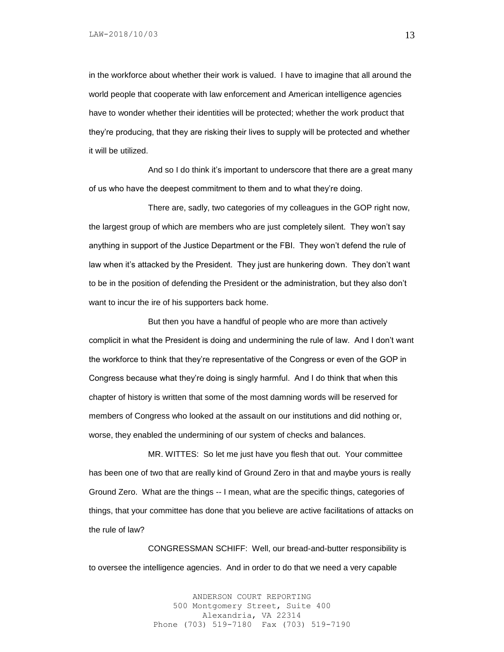in the workforce about whether their work is valued. I have to imagine that all around the world people that cooperate with law enforcement and American intelligence agencies have to wonder whether their identities will be protected; whether the work product that they're producing, that they are risking their lives to supply will be protected and whether it will be utilized.

And so I do think it's important to underscore that there are a great many of us who have the deepest commitment to them and to what they're doing.

There are, sadly, two categories of my colleagues in the GOP right now, the largest group of which are members who are just completely silent. They won't say anything in support of the Justice Department or the FBI. They won't defend the rule of law when it's attacked by the President. They just are hunkering down. They don't want to be in the position of defending the President or the administration, but they also don't want to incur the ire of his supporters back home.

But then you have a handful of people who are more than actively complicit in what the President is doing and undermining the rule of law. And I don't want the workforce to think that they're representative of the Congress or even of the GOP in Congress because what they're doing is singly harmful. And I do think that when this chapter of history is written that some of the most damning words will be reserved for members of Congress who looked at the assault on our institutions and did nothing or, worse, they enabled the undermining of our system of checks and balances.

MR. WITTES: So let me just have you flesh that out. Your committee has been one of two that are really kind of Ground Zero in that and maybe yours is really Ground Zero. What are the things -- I mean, what are the specific things, categories of things, that your committee has done that you believe are active facilitations of attacks on the rule of law?

CONGRESSMAN SCHIFF: Well, our bread-and-butter responsibility is to oversee the intelligence agencies. And in order to do that we need a very capable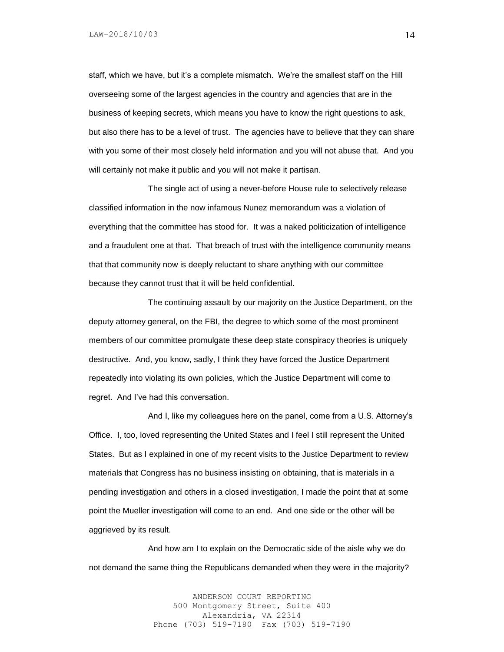staff, which we have, but it's a complete mismatch. We're the smallest staff on the Hill overseeing some of the largest agencies in the country and agencies that are in the business of keeping secrets, which means you have to know the right questions to ask, but also there has to be a level of trust. The agencies have to believe that they can share with you some of their most closely held information and you will not abuse that. And you will certainly not make it public and you will not make it partisan.

The single act of using a never-before House rule to selectively release classified information in the now infamous Nunez memorandum was a violation of everything that the committee has stood for. It was a naked politicization of intelligence and a fraudulent one at that. That breach of trust with the intelligence community means that that community now is deeply reluctant to share anything with our committee because they cannot trust that it will be held confidential.

The continuing assault by our majority on the Justice Department, on the deputy attorney general, on the FBI, the degree to which some of the most prominent members of our committee promulgate these deep state conspiracy theories is uniquely destructive. And, you know, sadly, I think they have forced the Justice Department repeatedly into violating its own policies, which the Justice Department will come to regret. And I've had this conversation.

And I, like my colleagues here on the panel, come from a U.S. Attorney's Office. I, too, loved representing the United States and I feel I still represent the United States. But as I explained in one of my recent visits to the Justice Department to review materials that Congress has no business insisting on obtaining, that is materials in a pending investigation and others in a closed investigation, I made the point that at some point the Mueller investigation will come to an end. And one side or the other will be aggrieved by its result.

And how am I to explain on the Democratic side of the aisle why we do not demand the same thing the Republicans demanded when they were in the majority?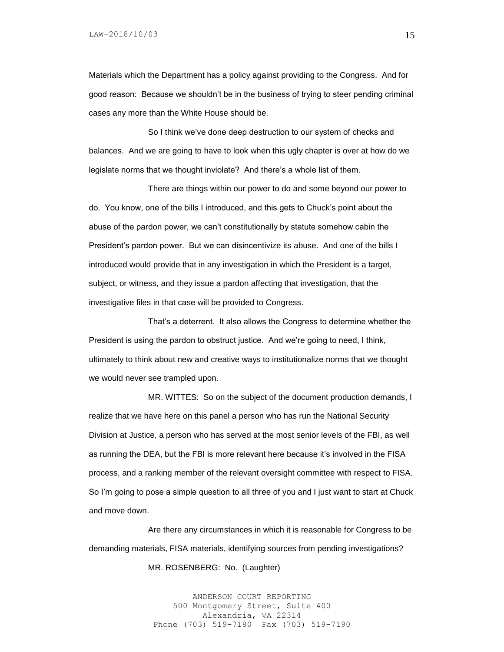Materials which the Department has a policy against providing to the Congress. And for good reason: Because we shouldn't be in the business of trying to steer pending criminal cases any more than the White House should be.

So I think we've done deep destruction to our system of checks and balances. And we are going to have to look when this ugly chapter is over at how do we legislate norms that we thought inviolate? And there's a whole list of them.

There are things within our power to do and some beyond our power to do. You know, one of the bills I introduced, and this gets to Chuck's point about the abuse of the pardon power, we can't constitutionally by statute somehow cabin the President's pardon power. But we can disincentivize its abuse. And one of the bills I introduced would provide that in any investigation in which the President is a target, subject, or witness, and they issue a pardon affecting that investigation, that the investigative files in that case will be provided to Congress.

That's a deterrent. It also allows the Congress to determine whether the President is using the pardon to obstruct justice. And we're going to need, I think, ultimately to think about new and creative ways to institutionalize norms that we thought we would never see trampled upon.

MR. WITTES: So on the subject of the document production demands, I realize that we have here on this panel a person who has run the National Security Division at Justice, a person who has served at the most senior levels of the FBI, as well as running the DEA, but the FBI is more relevant here because it's involved in the FISA process, and a ranking member of the relevant oversight committee with respect to FISA. So I'm going to pose a simple question to all three of you and I just want to start at Chuck and move down.

Are there any circumstances in which it is reasonable for Congress to be demanding materials, FISA materials, identifying sources from pending investigations?

MR. ROSENBERG: No. (Laughter)

ANDERSON COURT REPORTING 500 Montgomery Street, Suite 400 Alexandria, VA 22314 Phone (703) 519-7180 Fax (703) 519-7190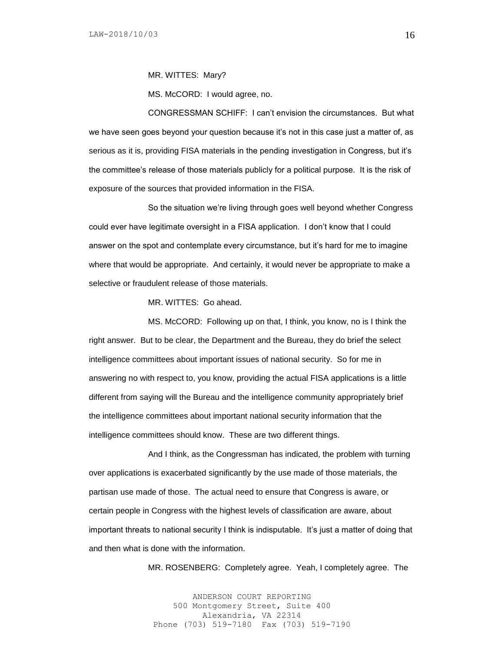MR. WITTES: Mary?

MS. McCORD: I would agree, no.

CONGRESSMAN SCHIFF: I can't envision the circumstances. But what we have seen goes beyond your question because it's not in this case just a matter of, as serious as it is, providing FISA materials in the pending investigation in Congress, but it's the committee's release of those materials publicly for a political purpose. It is the risk of exposure of the sources that provided information in the FISA.

So the situation we're living through goes well beyond whether Congress could ever have legitimate oversight in a FISA application. I don't know that I could answer on the spot and contemplate every circumstance, but it's hard for me to imagine where that would be appropriate. And certainly, it would never be appropriate to make a selective or fraudulent release of those materials.

MR. WITTES: Go ahead.

MS. McCORD: Following up on that, I think, you know, no is I think the right answer. But to be clear, the Department and the Bureau, they do brief the select intelligence committees about important issues of national security. So for me in answering no with respect to, you know, providing the actual FISA applications is a little different from saying will the Bureau and the intelligence community appropriately brief the intelligence committees about important national security information that the intelligence committees should know. These are two different things.

And I think, as the Congressman has indicated, the problem with turning over applications is exacerbated significantly by the use made of those materials, the partisan use made of those. The actual need to ensure that Congress is aware, or certain people in Congress with the highest levels of classification are aware, about important threats to national security I think is indisputable. It's just a matter of doing that and then what is done with the information.

MR. ROSENBERG: Completely agree. Yeah, I completely agree. The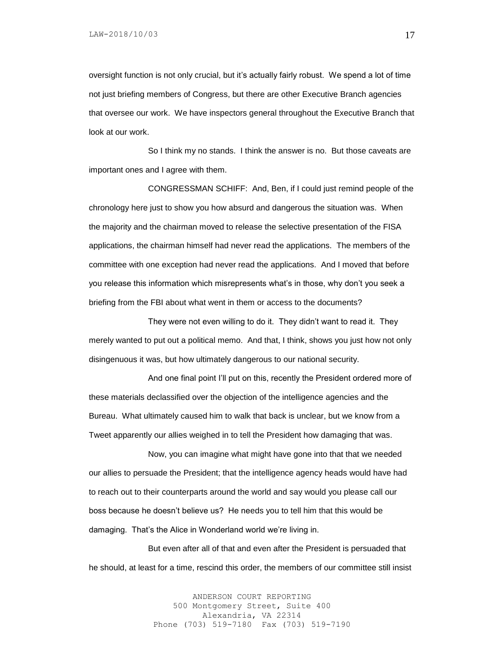oversight function is not only crucial, but it's actually fairly robust. We spend a lot of time not just briefing members of Congress, but there are other Executive Branch agencies that oversee our work. We have inspectors general throughout the Executive Branch that look at our work.

So I think my no stands. I think the answer is no. But those caveats are important ones and I agree with them.

CONGRESSMAN SCHIFF: And, Ben, if I could just remind people of the chronology here just to show you how absurd and dangerous the situation was. When the majority and the chairman moved to release the selective presentation of the FISA applications, the chairman himself had never read the applications. The members of the committee with one exception had never read the applications. And I moved that before you release this information which misrepresents what's in those, why don't you seek a briefing from the FBI about what went in them or access to the documents?

They were not even willing to do it. They didn't want to read it. They merely wanted to put out a political memo. And that, I think, shows you just how not only disingenuous it was, but how ultimately dangerous to our national security.

And one final point I'll put on this, recently the President ordered more of these materials declassified over the objection of the intelligence agencies and the Bureau. What ultimately caused him to walk that back is unclear, but we know from a Tweet apparently our allies weighed in to tell the President how damaging that was.

Now, you can imagine what might have gone into that that we needed our allies to persuade the President; that the intelligence agency heads would have had to reach out to their counterparts around the world and say would you please call our boss because he doesn't believe us? He needs you to tell him that this would be damaging. That's the Alice in Wonderland world we're living in.

But even after all of that and even after the President is persuaded that he should, at least for a time, rescind this order, the members of our committee still insist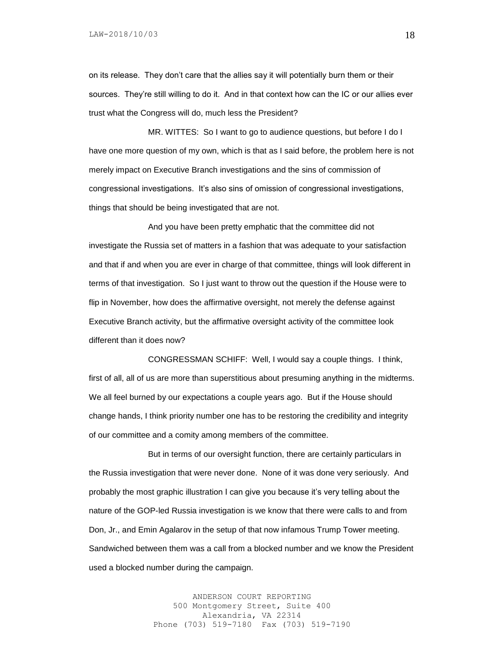on its release. They don't care that the allies say it will potentially burn them or their sources. They're still willing to do it. And in that context how can the IC or our allies ever trust what the Congress will do, much less the President?

MR. WITTES: So I want to go to audience questions, but before I do I have one more question of my own, which is that as I said before, the problem here is not merely impact on Executive Branch investigations and the sins of commission of congressional investigations. It's also sins of omission of congressional investigations, things that should be being investigated that are not.

And you have been pretty emphatic that the committee did not investigate the Russia set of matters in a fashion that was adequate to your satisfaction and that if and when you are ever in charge of that committee, things will look different in terms of that investigation. So I just want to throw out the question if the House were to flip in November, how does the affirmative oversight, not merely the defense against Executive Branch activity, but the affirmative oversight activity of the committee look different than it does now?

CONGRESSMAN SCHIFF: Well, I would say a couple things. I think, first of all, all of us are more than superstitious about presuming anything in the midterms. We all feel burned by our expectations a couple years ago. But if the House should change hands, I think priority number one has to be restoring the credibility and integrity of our committee and a comity among members of the committee.

But in terms of our oversight function, there are certainly particulars in the Russia investigation that were never done. None of it was done very seriously. And probably the most graphic illustration I can give you because it's very telling about the nature of the GOP-led Russia investigation is we know that there were calls to and from Don, Jr., and Emin Agalarov in the setup of that now infamous Trump Tower meeting. Sandwiched between them was a call from a blocked number and we know the President used a blocked number during the campaign.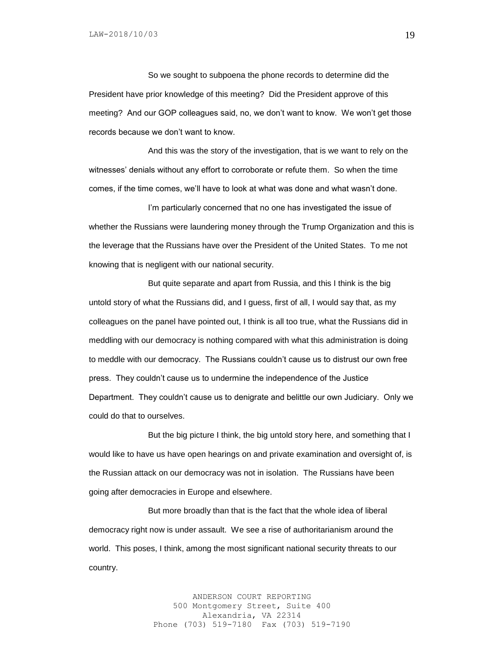So we sought to subpoena the phone records to determine did the President have prior knowledge of this meeting? Did the President approve of this meeting? And our GOP colleagues said, no, we don't want to know. We won't get those records because we don't want to know.

And this was the story of the investigation, that is we want to rely on the witnesses' denials without any effort to corroborate or refute them. So when the time comes, if the time comes, we'll have to look at what was done and what wasn't done.

I'm particularly concerned that no one has investigated the issue of whether the Russians were laundering money through the Trump Organization and this is the leverage that the Russians have over the President of the United States. To me not knowing that is negligent with our national security.

But quite separate and apart from Russia, and this I think is the big untold story of what the Russians did, and I guess, first of all, I would say that, as my colleagues on the panel have pointed out, I think is all too true, what the Russians did in meddling with our democracy is nothing compared with what this administration is doing to meddle with our democracy. The Russians couldn't cause us to distrust our own free press. They couldn't cause us to undermine the independence of the Justice Department. They couldn't cause us to denigrate and belittle our own Judiciary. Only we could do that to ourselves.

But the big picture I think, the big untold story here, and something that I would like to have us have open hearings on and private examination and oversight of, is the Russian attack on our democracy was not in isolation. The Russians have been going after democracies in Europe and elsewhere.

But more broadly than that is the fact that the whole idea of liberal democracy right now is under assault. We see a rise of authoritarianism around the world. This poses, I think, among the most significant national security threats to our country.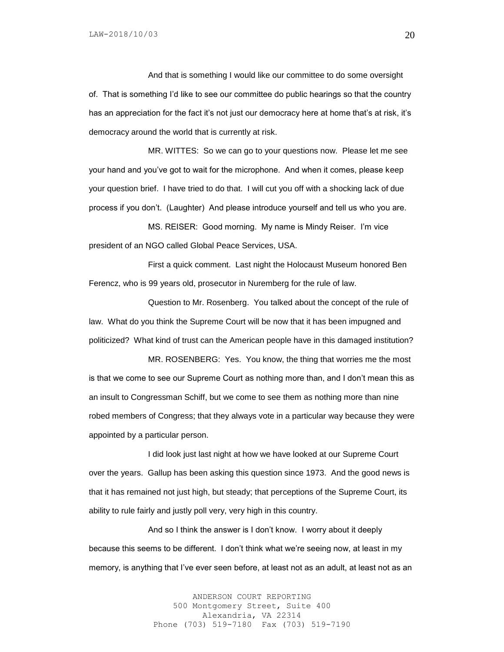And that is something I would like our committee to do some oversight of. That is something I'd like to see our committee do public hearings so that the country has an appreciation for the fact it's not just our democracy here at home that's at risk, it's democracy around the world that is currently at risk.

MR. WITTES: So we can go to your questions now. Please let me see your hand and you've got to wait for the microphone. And when it comes, please keep your question brief. I have tried to do that. I will cut you off with a shocking lack of due process if you don't. (Laughter) And please introduce yourself and tell us who you are.

MS. REISER: Good morning. My name is Mindy Reiser. I'm vice president of an NGO called Global Peace Services, USA.

First a quick comment. Last night the Holocaust Museum honored Ben Ferencz, who is 99 years old, prosecutor in Nuremberg for the rule of law.

Question to Mr. Rosenberg. You talked about the concept of the rule of law. What do you think the Supreme Court will be now that it has been impugned and politicized? What kind of trust can the American people have in this damaged institution?

MR. ROSENBERG: Yes. You know, the thing that worries me the most is that we come to see our Supreme Court as nothing more than, and I don't mean this as an insult to Congressman Schiff, but we come to see them as nothing more than nine robed members of Congress; that they always vote in a particular way because they were appointed by a particular person.

I did look just last night at how we have looked at our Supreme Court over the years. Gallup has been asking this question since 1973. And the good news is that it has remained not just high, but steady; that perceptions of the Supreme Court, its ability to rule fairly and justly poll very, very high in this country.

And so I think the answer is I don't know. I worry about it deeply because this seems to be different. I don't think what we're seeing now, at least in my memory, is anything that I've ever seen before, at least not as an adult, at least not as an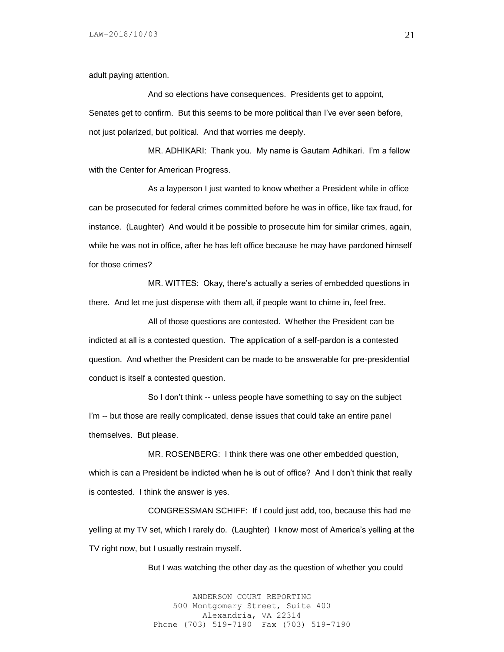adult paying attention.

And so elections have consequences. Presidents get to appoint, Senates get to confirm. But this seems to be more political than I've ever seen before, not just polarized, but political. And that worries me deeply.

MR. ADHIKARI: Thank you. My name is Gautam Adhikari. I'm a fellow with the Center for American Progress.

As a layperson I just wanted to know whether a President while in office can be prosecuted for federal crimes committed before he was in office, like tax fraud, for instance. (Laughter) And would it be possible to prosecute him for similar crimes, again, while he was not in office, after he has left office because he may have pardoned himself for those crimes?

MR. WITTES: Okay, there's actually a series of embedded questions in there. And let me just dispense with them all, if people want to chime in, feel free.

All of those questions are contested. Whether the President can be indicted at all is a contested question. The application of a self-pardon is a contested question. And whether the President can be made to be answerable for pre-presidential conduct is itself a contested question.

So I don't think -- unless people have something to say on the subject I'm -- but those are really complicated, dense issues that could take an entire panel themselves. But please.

MR. ROSENBERG: I think there was one other embedded question, which is can a President be indicted when he is out of office? And I don't think that really is contested. I think the answer is yes.

CONGRESSMAN SCHIFF: If I could just add, too, because this had me yelling at my TV set, which I rarely do. (Laughter) I know most of America's yelling at the TV right now, but I usually restrain myself.

But I was watching the other day as the question of whether you could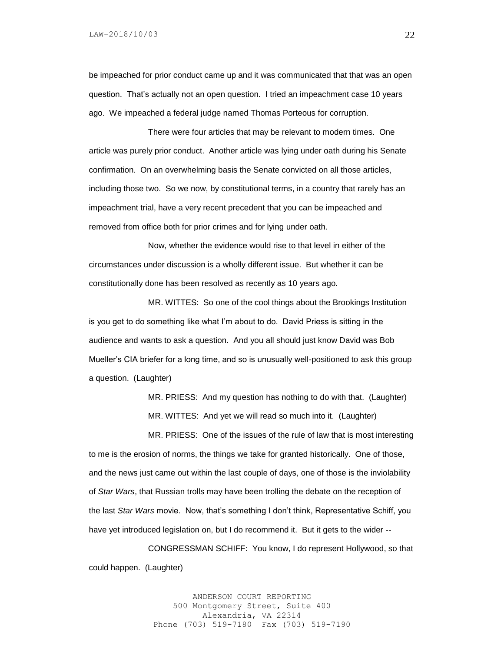be impeached for prior conduct came up and it was communicated that that was an open question. That's actually not an open question. I tried an impeachment case 10 years ago. We impeached a federal judge named Thomas Porteous for corruption.

There were four articles that may be relevant to modern times. One article was purely prior conduct. Another article was lying under oath during his Senate confirmation. On an overwhelming basis the Senate convicted on all those articles, including those two. So we now, by constitutional terms, in a country that rarely has an impeachment trial, have a very recent precedent that you can be impeached and removed from office both for prior crimes and for lying under oath.

Now, whether the evidence would rise to that level in either of the circumstances under discussion is a wholly different issue. But whether it can be constitutionally done has been resolved as recently as 10 years ago.

MR. WITTES: So one of the cool things about the Brookings Institution is you get to do something like what I'm about to do. David Priess is sitting in the audience and wants to ask a question. And you all should just know David was Bob Mueller's CIA briefer for a long time, and so is unusually well-positioned to ask this group a question. (Laughter)

> MR. PRIESS: And my question has nothing to do with that. (Laughter) MR. WITTES: And yet we will read so much into it. (Laughter)

MR. PRIESS: One of the issues of the rule of law that is most interesting to me is the erosion of norms, the things we take for granted historically. One of those, and the news just came out within the last couple of days, one of those is the inviolability of *Star Wars*, that Russian trolls may have been trolling the debate on the reception of the last *Star Wars* movie. Now, that's something I don't think, Representative Schiff, you have yet introduced legislation on, but I do recommend it. But it gets to the wider --

CONGRESSMAN SCHIFF: You know, I do represent Hollywood, so that could happen. (Laughter)

> ANDERSON COURT REPORTING 500 Montgomery Street, Suite 400 Alexandria, VA 22314 Phone (703) 519-7180 Fax (703) 519-7190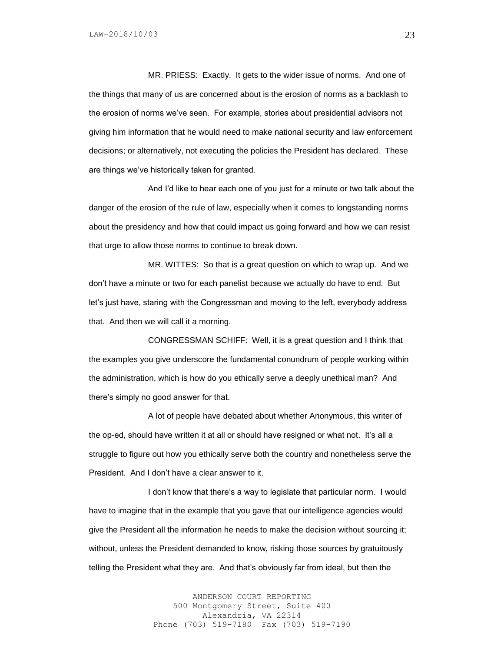MR. PRIESS: Exactly. It gets to the wider issue of norms. And one of the things that many of us are concerned about is the erosion of norms as a backlash to the erosion of norms we've seen. For example, stories about presidential advisors not giving him information that he would need to make national security and law enforcement decisions; or alternatively, not executing the policies the President has declared. These are things we've historically taken for granted.

And I'd like to hear each one of you just for a minute or two talk about the danger of the erosion of the rule of law, especially when it comes to longstanding norms about the presidency and how that could impact us going forward and how we can resist that urge to allow those norms to continue to break down.

MR. WITTES: So that is a great question on which to wrap up. And we don't have a minute or two for each panelist because we actually do have to end. But let's just have, staring with the Congressman and moving to the left, everybody address that. And then we will call it a morning.

CONGRESSMAN SCHIFF: Well, it is a great question and I think that the examples you give underscore the fundamental conundrum of people working within the administration, which is how do you ethically serve a deeply unethical man? And there's simply no good answer for that.

A lot of people have debated about whether Anonymous, this writer of the op-ed, should have written it at all or should have resigned or what not. It's all a struggle to figure out how you ethically serve both the country and nonetheless serve the President. And I don't have a clear answer to it.

I don't know that there's a way to legislate that particular norm. I would have to imagine that in the example that you gave that our intelligence agencies would give the President all the information he needs to make the decision without sourcing it; without, unless the President demanded to know, risking those sources by gratuitously telling the President what they are. And that's obviously far from ideal, but then the

> ANDERSON COURT REPORTING 500 Montgomery Street, Suite 400 Alexandria, VA 22314 Phone (703) 519-7180 Fax (703) 519-7190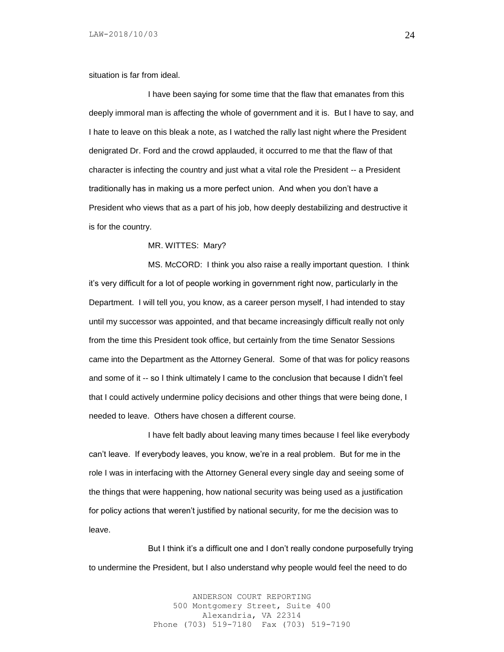situation is far from ideal.

I have been saying for some time that the flaw that emanates from this deeply immoral man is affecting the whole of government and it is. But I have to say, and I hate to leave on this bleak a note, as I watched the rally last night where the President denigrated Dr. Ford and the crowd applauded, it occurred to me that the flaw of that character is infecting the country and just what a vital role the President -- a President traditionally has in making us a more perfect union. And when you don't have a President who views that as a part of his job, how deeply destabilizing and destructive it is for the country.

MR. WITTES: Mary?

MS. McCORD: I think you also raise a really important question. I think it's very difficult for a lot of people working in government right now, particularly in the Department. I will tell you, you know, as a career person myself, I had intended to stay until my successor was appointed, and that became increasingly difficult really not only from the time this President took office, but certainly from the time Senator Sessions came into the Department as the Attorney General. Some of that was for policy reasons and some of it -- so I think ultimately I came to the conclusion that because I didn't feel that I could actively undermine policy decisions and other things that were being done, I needed to leave. Others have chosen a different course.

I have felt badly about leaving many times because I feel like everybody can't leave. If everybody leaves, you know, we're in a real problem. But for me in the role I was in interfacing with the Attorney General every single day and seeing some of the things that were happening, how national security was being used as a justification for policy actions that weren't justified by national security, for me the decision was to leave.

But I think it's a difficult one and I don't really condone purposefully trying to undermine the President, but I also understand why people would feel the need to do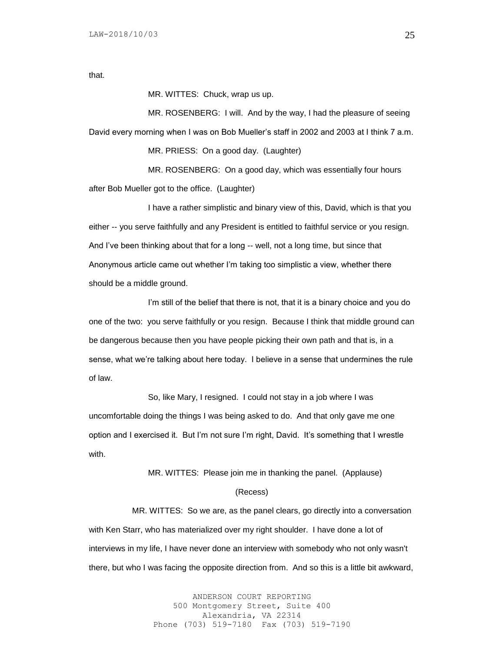that.

MR. WITTES: Chuck, wrap us up.

MR. ROSENBERG: I will. And by the way, I had the pleasure of seeing David every morning when I was on Bob Mueller's staff in 2002 and 2003 at I think 7 a.m.

MR. PRIESS: On a good day. (Laughter)

MR. ROSENBERG: On a good day, which was essentially four hours after Bob Mueller got to the office. (Laughter)

I have a rather simplistic and binary view of this, David, which is that you either -- you serve faithfully and any President is entitled to faithful service or you resign. And I've been thinking about that for a long -- well, not a long time, but since that Anonymous article came out whether I'm taking too simplistic a view, whether there should be a middle ground.

I'm still of the belief that there is not, that it is a binary choice and you do one of the two: you serve faithfully or you resign. Because I think that middle ground can be dangerous because then you have people picking their own path and that is, in a sense, what we're talking about here today. I believe in a sense that undermines the rule of law.

So, like Mary, I resigned. I could not stay in a job where I was uncomfortable doing the things I was being asked to do. And that only gave me one option and I exercised it. But I'm not sure I'm right, David. It's something that I wrestle with.

MR. WITTES: Please join me in thanking the panel. (Applause)

#### (Recess)

 MR. WITTES: So we are, as the panel clears, go directly into a conversation with Ken Starr, who has materialized over my right shoulder. I have done a lot of interviews in my life, I have never done an interview with somebody who not only wasn't there, but who I was facing the opposite direction from. And so this is a little bit awkward,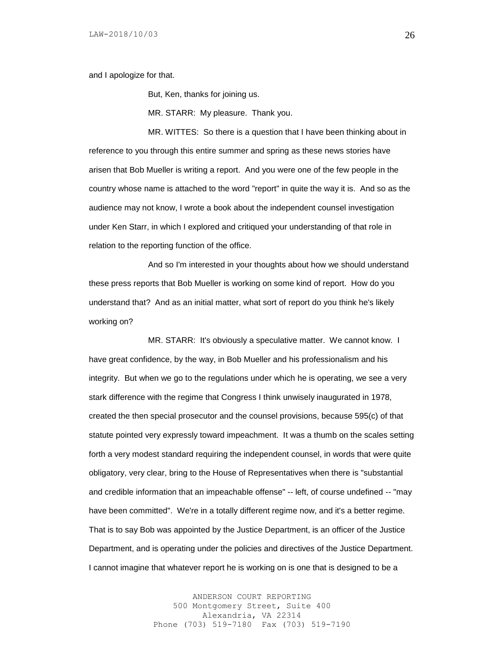and I apologize for that.

But, Ken, thanks for joining us.

MR. STARR: My pleasure. Thank you.

MR. WITTES: So there is a question that I have been thinking about in reference to you through this entire summer and spring as these news stories have arisen that Bob Mueller is writing a report. And you were one of the few people in the country whose name is attached to the word "report" in quite the way it is. And so as the audience may not know, I wrote a book about the independent counsel investigation under Ken Starr, in which I explored and critiqued your understanding of that role in relation to the reporting function of the office.

And so I'm interested in your thoughts about how we should understand these press reports that Bob Mueller is working on some kind of report. How do you understand that? And as an initial matter, what sort of report do you think he's likely working on?

MR. STARR: It's obviously a speculative matter. We cannot know. I have great confidence, by the way, in Bob Mueller and his professionalism and his integrity. But when we go to the regulations under which he is operating, we see a very stark difference with the regime that Congress I think unwisely inaugurated in 1978, created the then special prosecutor and the counsel provisions, because 595(c) of that statute pointed very expressly toward impeachment. It was a thumb on the scales setting forth a very modest standard requiring the independent counsel, in words that were quite obligatory, very clear, bring to the House of Representatives when there is "substantial and credible information that an impeachable offense" -- left, of course undefined -- "may have been committed". We're in a totally different regime now, and it's a better regime. That is to say Bob was appointed by the Justice Department, is an officer of the Justice Department, and is operating under the policies and directives of the Justice Department. I cannot imagine that whatever report he is working on is one that is designed to be a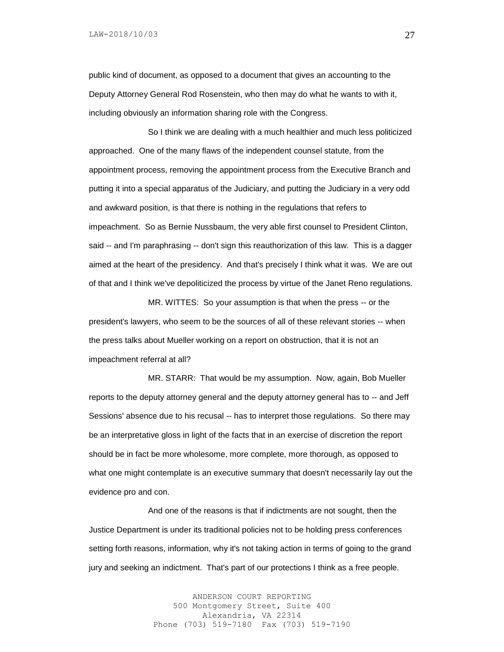public kind of document, as opposed to a document that gives an accounting to the Deputy Attorney General Rod Rosenstein, who then may do what he wants to with it, including obviously an information sharing role with the Congress.

So I think we are dealing with a much healthier and much less politicized approached. One of the many flaws of the independent counsel statute, from the appointment process, removing the appointment process from the Executive Branch and putting it into a special apparatus of the Judiciary, and putting the Judiciary in a very odd and awkward position, is that there is nothing in the regulations that refers to impeachment. So as Bernie Nussbaum, the very able first counsel to President Clinton, said -- and I'm paraphrasing -- don't sign this reauthorization of this law. This is a dagger aimed at the heart of the presidency. And that's precisely I think what it was. We are out of that and I think we've depoliticized the process by virtue of the Janet Reno regulations.

MR. WITTES: So your assumption is that when the press -- or the president's lawyers, who seem to be the sources of all of these relevant stories -- when the press talks about Mueller working on a report on obstruction, that it is not an impeachment referral at all?

MR. STARR: That would be my assumption. Now, again, Bob Mueller reports to the deputy attorney general and the deputy attorney general has to -- and Jeff Sessions' absence due to his recusal -- has to interpret those regulations. So there may be an interpretative gloss in light of the facts that in an exercise of discretion the report should be in fact be more wholesome, more complete, more thorough, as opposed to what one might contemplate is an executive summary that doesn't necessarily lay out the evidence pro and con.

And one of the reasons is that if indictments are not sought, then the Justice Department is under its traditional policies not to be holding press conferences setting forth reasons, information, why it's not taking action in terms of going to the grand jury and seeking an indictment. That's part of our protections I think as a free people.

> ANDERSON COURT REPORTING 500 Montgomery Street, Suite 400 Alexandria, VA 22314 Phone (703) 519-7180 Fax (703) 519-7190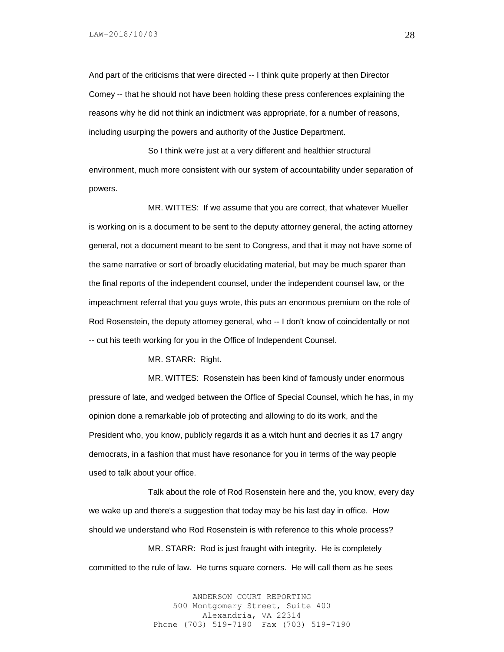And part of the criticisms that were directed -- I think quite properly at then Director Comey -- that he should not have been holding these press conferences explaining the reasons why he did not think an indictment was appropriate, for a number of reasons, including usurping the powers and authority of the Justice Department.

So I think we're just at a very different and healthier structural environment, much more consistent with our system of accountability under separation of powers.

MR. WITTES: If we assume that you are correct, that whatever Mueller is working on is a document to be sent to the deputy attorney general, the acting attorney general, not a document meant to be sent to Congress, and that it may not have some of the same narrative or sort of broadly elucidating material, but may be much sparer than the final reports of the independent counsel, under the independent counsel law, or the impeachment referral that you guys wrote, this puts an enormous premium on the role of Rod Rosenstein, the deputy attorney general, who -- I don't know of coincidentally or not -- cut his teeth working for you in the Office of Independent Counsel.

MR. STARR: Right.

MR. WITTES: Rosenstein has been kind of famously under enormous pressure of late, and wedged between the Office of Special Counsel, which he has, in my opinion done a remarkable job of protecting and allowing to do its work, and the President who, you know, publicly regards it as a witch hunt and decries it as 17 angry democrats, in a fashion that must have resonance for you in terms of the way people used to talk about your office.

Talk about the role of Rod Rosenstein here and the, you know, every day we wake up and there's a suggestion that today may be his last day in office. How should we understand who Rod Rosenstein is with reference to this whole process?

MR. STARR: Rod is just fraught with integrity. He is completely committed to the rule of law. He turns square corners. He will call them as he sees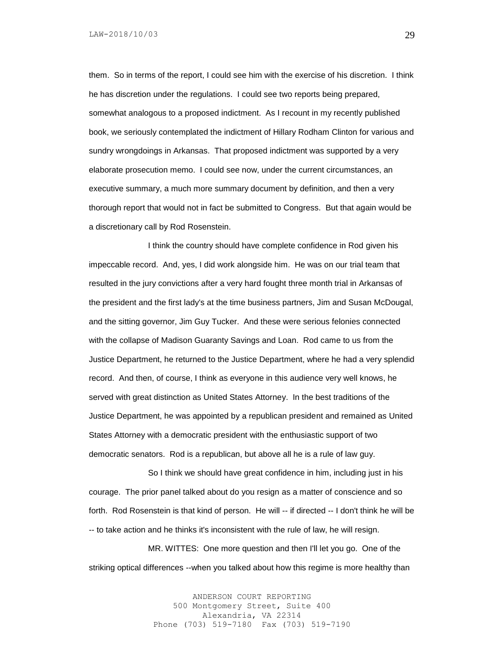LAW-2018/10/03

them. So in terms of the report, I could see him with the exercise of his discretion. I think he has discretion under the regulations. I could see two reports being prepared, somewhat analogous to a proposed indictment. As I recount in my recently published book, we seriously contemplated the indictment of Hillary Rodham Clinton for various and sundry wrongdoings in Arkansas. That proposed indictment was supported by a very elaborate prosecution memo. I could see now, under the current circumstances, an executive summary, a much more summary document by definition, and then a very thorough report that would not in fact be submitted to Congress. But that again would be a discretionary call by Rod Rosenstein.

I think the country should have complete confidence in Rod given his impeccable record. And, yes, I did work alongside him. He was on our trial team that resulted in the jury convictions after a very hard fought three month trial in Arkansas of the president and the first lady's at the time business partners, Jim and Susan McDougal, and the sitting governor, Jim Guy Tucker. And these were serious felonies connected with the collapse of Madison Guaranty Savings and Loan. Rod came to us from the Justice Department, he returned to the Justice Department, where he had a very splendid record. And then, of course, I think as everyone in this audience very well knows, he served with great distinction as United States Attorney. In the best traditions of the Justice Department, he was appointed by a republican president and remained as United States Attorney with a democratic president with the enthusiastic support of two democratic senators. Rod is a republican, but above all he is a rule of law guy.

So I think we should have great confidence in him, including just in his courage. The prior panel talked about do you resign as a matter of conscience and so forth. Rod Rosenstein is that kind of person. He will -- if directed -- I don't think he will be -- to take action and he thinks it's inconsistent with the rule of law, he will resign.

MR. WITTES: One more question and then I'll let you go. One of the striking optical differences --when you talked about how this regime is more healthy than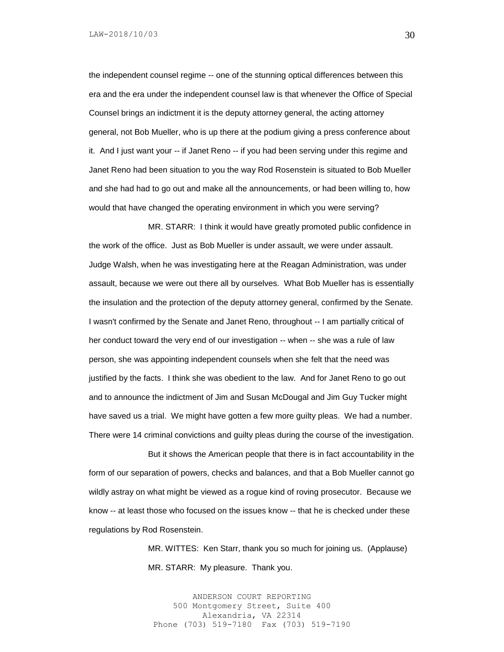the independent counsel regime -- one of the stunning optical differences between this era and the era under the independent counsel law is that whenever the Office of Special Counsel brings an indictment it is the deputy attorney general, the acting attorney general, not Bob Mueller, who is up there at the podium giving a press conference about it. And I just want your -- if Janet Reno -- if you had been serving under this regime and Janet Reno had been situation to you the way Rod Rosenstein is situated to Bob Mueller and she had had to go out and make all the announcements, or had been willing to, how would that have changed the operating environment in which you were serving?

MR. STARR: I think it would have greatly promoted public confidence in the work of the office. Just as Bob Mueller is under assault, we were under assault. Judge Walsh, when he was investigating here at the Reagan Administration, was under assault, because we were out there all by ourselves. What Bob Mueller has is essentially the insulation and the protection of the deputy attorney general, confirmed by the Senate. I wasn't confirmed by the Senate and Janet Reno, throughout -- I am partially critical of her conduct toward the very end of our investigation -- when -- she was a rule of law person, she was appointing independent counsels when she felt that the need was justified by the facts. I think she was obedient to the law. And for Janet Reno to go out and to announce the indictment of Jim and Susan McDougal and Jim Guy Tucker might have saved us a trial. We might have gotten a few more guilty pleas. We had a number. There were 14 criminal convictions and guilty pleas during the course of the investigation.

But it shows the American people that there is in fact accountability in the form of our separation of powers, checks and balances, and that a Bob Mueller cannot go wildly astray on what might be viewed as a rogue kind of roving prosecutor. Because we know -- at least those who focused on the issues know -- that he is checked under these regulations by Rod Rosenstein.

> MR. WITTES: Ken Starr, thank you so much for joining us. (Applause) MR. STARR: My pleasure. Thank you.

ANDERSON COURT REPORTING 500 Montgomery Street, Suite 400 Alexandria, VA 22314 Phone (703) 519-7180 Fax (703) 519-7190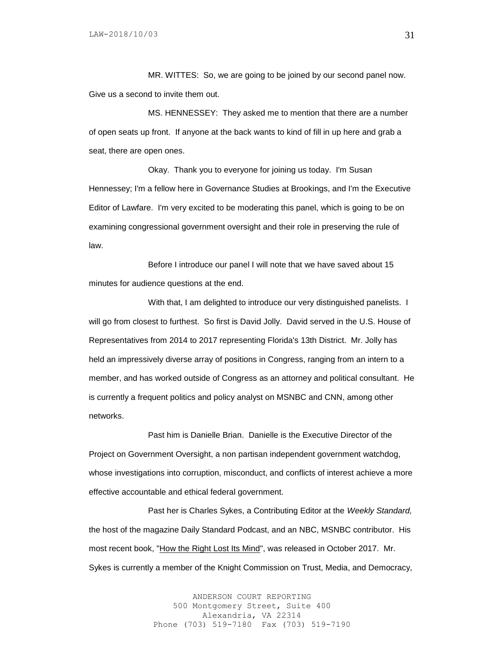MR. WITTES: So, we are going to be joined by our second panel now. Give us a second to invite them out.

MS. HENNESSEY: They asked me to mention that there are a number of open seats up front. If anyone at the back wants to kind of fill in up here and grab a seat, there are open ones.

Okay. Thank you to everyone for joining us today. I'm Susan Hennessey; I'm a fellow here in Governance Studies at Brookings, and I'm the Executive Editor of Lawfare. I'm very excited to be moderating this panel, which is going to be on examining congressional government oversight and their role in preserving the rule of law.

Before I introduce our panel I will note that we have saved about 15 minutes for audience questions at the end.

With that, I am delighted to introduce our very distinguished panelists. I will go from closest to furthest. So first is David Jolly. David served in the U.S. House of Representatives from 2014 to 2017 representing Florida's 13th District. Mr. Jolly has held an impressively diverse array of positions in Congress, ranging from an intern to a member, and has worked outside of Congress as an attorney and political consultant. He is currently a frequent politics and policy analyst on MSNBC and CNN, among other networks.

Past him is Danielle Brian. Danielle is the Executive Director of the Project on Government Oversight, a non partisan independent government watchdog, whose investigations into corruption, misconduct, and conflicts of interest achieve a more effective accountable and ethical federal government.

Past her is Charles Sykes, a Contributing Editor at the *Weekly Standard,* the host of the magazine Daily Standard Podcast, and an NBC, MSNBC contributor. His most recent book, "How the Right Lost Its Mind", was released in October 2017. Mr. Sykes is currently a member of the Knight Commission on Trust, Media, and Democracy,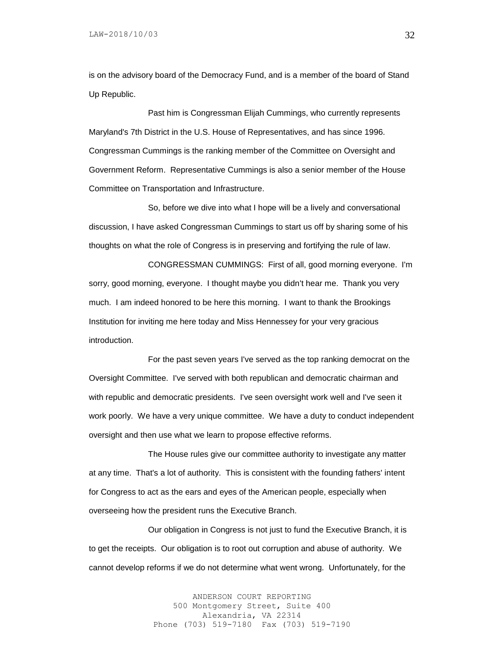is on the advisory board of the Democracy Fund, and is a member of the board of Stand Up Republic.

Past him is Congressman Elijah Cummings, who currently represents Maryland's 7th District in the U.S. House of Representatives, and has since 1996. Congressman Cummings is the ranking member of the Committee on Oversight and Government Reform. Representative Cummings is also a senior member of the House Committee on Transportation and Infrastructure.

So, before we dive into what I hope will be a lively and conversational discussion, I have asked Congressman Cummings to start us off by sharing some of his thoughts on what the role of Congress is in preserving and fortifying the rule of law.

CONGRESSMAN CUMMINGS: First of all, good morning everyone. I'm sorry, good morning, everyone. I thought maybe you didn't hear me. Thank you very much. I am indeed honored to be here this morning. I want to thank the Brookings Institution for inviting me here today and Miss Hennessey for your very gracious introduction.

For the past seven years I've served as the top ranking democrat on the Oversight Committee. I've served with both republican and democratic chairman and with republic and democratic presidents. I've seen oversight work well and I've seen it work poorly. We have a very unique committee. We have a duty to conduct independent oversight and then use what we learn to propose effective reforms.

The House rules give our committee authority to investigate any matter at any time. That's a lot of authority. This is consistent with the founding fathers' intent for Congress to act as the ears and eyes of the American people, especially when overseeing how the president runs the Executive Branch.

Our obligation in Congress is not just to fund the Executive Branch, it is to get the receipts. Our obligation is to root out corruption and abuse of authority. We cannot develop reforms if we do not determine what went wrong. Unfortunately, for the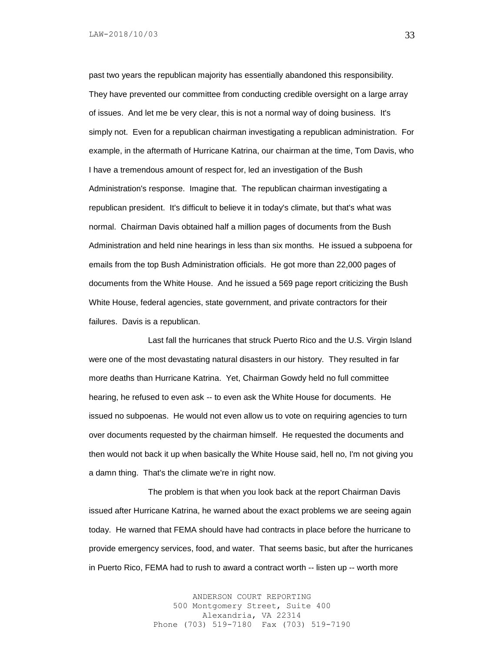past two years the republican majority has essentially abandoned this responsibility. They have prevented our committee from conducting credible oversight on a large array of issues. And let me be very clear, this is not a normal way of doing business. It's simply not. Even for a republican chairman investigating a republican administration. For example, in the aftermath of Hurricane Katrina, our chairman at the time, Tom Davis, who I have a tremendous amount of respect for, led an investigation of the Bush Administration's response. Imagine that. The republican chairman investigating a republican president. It's difficult to believe it in today's climate, but that's what was normal. Chairman Davis obtained half a million pages of documents from the Bush Administration and held nine hearings in less than six months. He issued a subpoena for emails from the top Bush Administration officials. He got more than 22,000 pages of documents from the White House. And he issued a 569 page report criticizing the Bush White House, federal agencies, state government, and private contractors for their failures. Davis is a republican.

Last fall the hurricanes that struck Puerto Rico and the U.S. Virgin Island were one of the most devastating natural disasters in our history. They resulted in far more deaths than Hurricane Katrina. Yet, Chairman Gowdy held no full committee hearing, he refused to even ask -- to even ask the White House for documents. He issued no subpoenas. He would not even allow us to vote on requiring agencies to turn over documents requested by the chairman himself. He requested the documents and then would not back it up when basically the White House said, hell no, I'm not giving you a damn thing. That's the climate we're in right now.

The problem is that when you look back at the report Chairman Davis issued after Hurricane Katrina, he warned about the exact problems we are seeing again today. He warned that FEMA should have had contracts in place before the hurricane to provide emergency services, food, and water. That seems basic, but after the hurricanes in Puerto Rico, FEMA had to rush to award a contract worth -- listen up -- worth more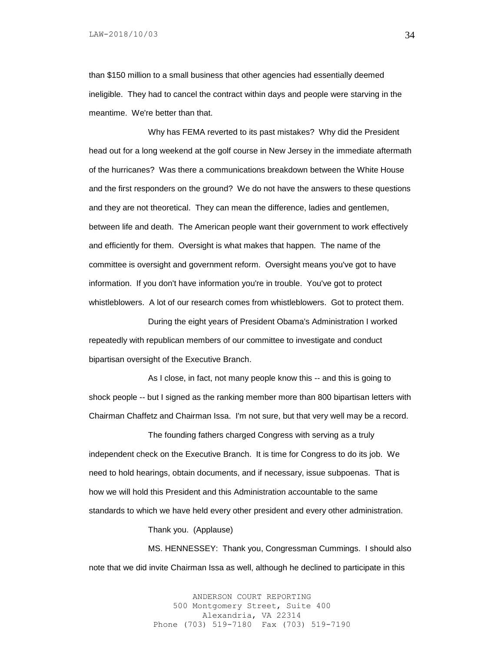than \$150 million to a small business that other agencies had essentially deemed ineligible. They had to cancel the contract within days and people were starving in the meantime. We're better than that.

Why has FEMA reverted to its past mistakes? Why did the President head out for a long weekend at the golf course in New Jersey in the immediate aftermath of the hurricanes? Was there a communications breakdown between the White House and the first responders on the ground? We do not have the answers to these questions and they are not theoretical. They can mean the difference, ladies and gentlemen, between life and death. The American people want their government to work effectively and efficiently for them. Oversight is what makes that happen. The name of the committee is oversight and government reform. Oversight means you've got to have information. If you don't have information you're in trouble. You've got to protect whistleblowers. A lot of our research comes from whistleblowers. Got to protect them.

During the eight years of President Obama's Administration I worked repeatedly with republican members of our committee to investigate and conduct bipartisan oversight of the Executive Branch.

As I close, in fact, not many people know this -- and this is going to shock people -- but I signed as the ranking member more than 800 bipartisan letters with Chairman Chaffetz and Chairman Issa. I'm not sure, but that very well may be a record.

The founding fathers charged Congress with serving as a truly independent check on the Executive Branch. It is time for Congress to do its job. We need to hold hearings, obtain documents, and if necessary, issue subpoenas. That is how we will hold this President and this Administration accountable to the same standards to which we have held every other president and every other administration.

Thank you. (Applause)

MS. HENNESSEY: Thank you, Congressman Cummings. I should also note that we did invite Chairman Issa as well, although he declined to participate in this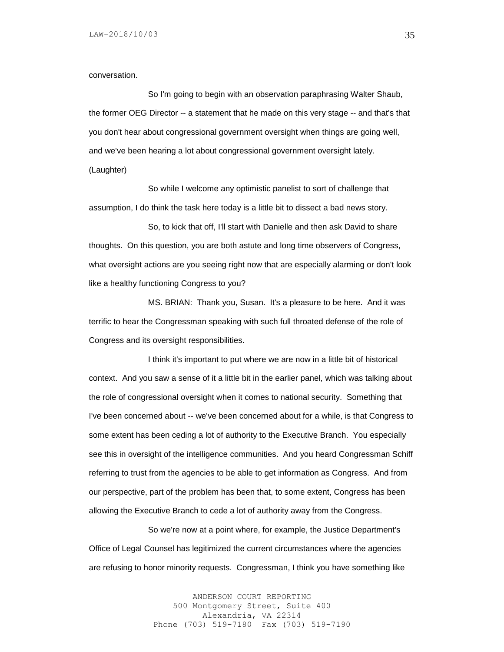conversation.

So I'm going to begin with an observation paraphrasing Walter Shaub, the former OEG Director -- a statement that he made on this very stage -- and that's that you don't hear about congressional government oversight when things are going well, and we've been hearing a lot about congressional government oversight lately. (Laughter)

So while I welcome any optimistic panelist to sort of challenge that assumption, I do think the task here today is a little bit to dissect a bad news story.

So, to kick that off, I'll start with Danielle and then ask David to share thoughts. On this question, you are both astute and long time observers of Congress, what oversight actions are you seeing right now that are especially alarming or don't look like a healthy functioning Congress to you?

MS. BRIAN: Thank you, Susan. It's a pleasure to be here. And it was terrific to hear the Congressman speaking with such full throated defense of the role of Congress and its oversight responsibilities.

I think it's important to put where we are now in a little bit of historical context. And you saw a sense of it a little bit in the earlier panel, which was talking about the role of congressional oversight when it comes to national security. Something that I've been concerned about -- we've been concerned about for a while, is that Congress to some extent has been ceding a lot of authority to the Executive Branch. You especially see this in oversight of the intelligence communities. And you heard Congressman Schiff referring to trust from the agencies to be able to get information as Congress. And from our perspective, part of the problem has been that, to some extent, Congress has been allowing the Executive Branch to cede a lot of authority away from the Congress.

So we're now at a point where, for example, the Justice Department's Office of Legal Counsel has legitimized the current circumstances where the agencies are refusing to honor minority requests. Congressman, I think you have something like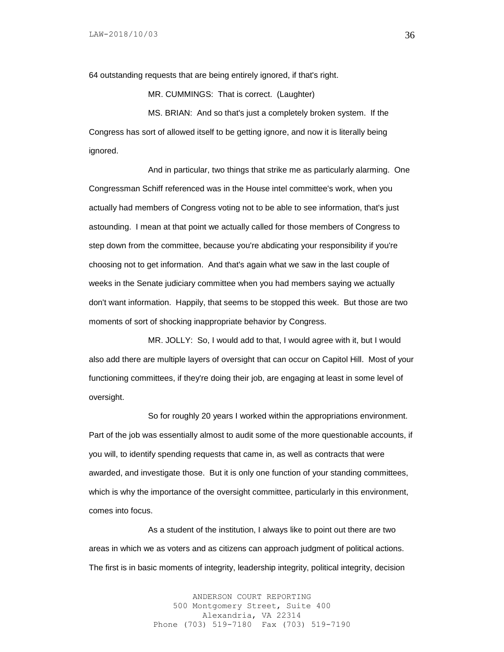64 outstanding requests that are being entirely ignored, if that's right.

MR. CUMMINGS: That is correct. (Laughter)

MS. BRIAN: And so that's just a completely broken system. If the Congress has sort of allowed itself to be getting ignore, and now it is literally being ignored.

And in particular, two things that strike me as particularly alarming. One Congressman Schiff referenced was in the House intel committee's work, when you actually had members of Congress voting not to be able to see information, that's just astounding. I mean at that point we actually called for those members of Congress to step down from the committee, because you're abdicating your responsibility if you're choosing not to get information. And that's again what we saw in the last couple of weeks in the Senate judiciary committee when you had members saying we actually don't want information. Happily, that seems to be stopped this week. But those are two moments of sort of shocking inappropriate behavior by Congress.

MR. JOLLY: So, I would add to that, I would agree with it, but I would also add there are multiple layers of oversight that can occur on Capitol Hill. Most of your functioning committees, if they're doing their job, are engaging at least in some level of oversight.

So for roughly 20 years I worked within the appropriations environment. Part of the job was essentially almost to audit some of the more questionable accounts, if you will, to identify spending requests that came in, as well as contracts that were awarded, and investigate those. But it is only one function of your standing committees, which is why the importance of the oversight committee, particularly in this environment, comes into focus.

As a student of the institution, I always like to point out there are two areas in which we as voters and as citizens can approach judgment of political actions. The first is in basic moments of integrity, leadership integrity, political integrity, decision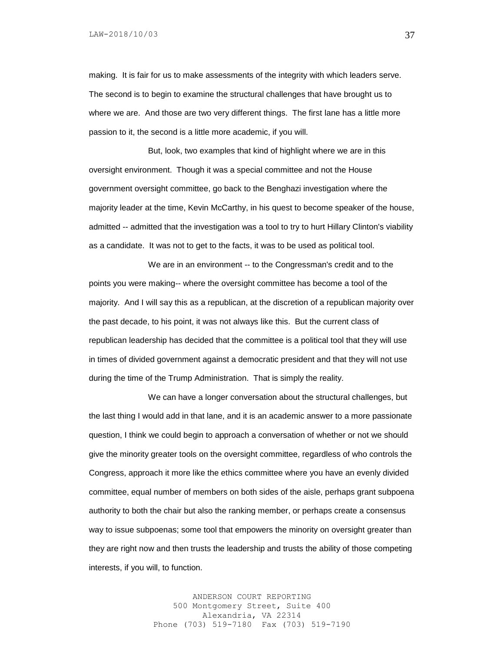making. It is fair for us to make assessments of the integrity with which leaders serve. The second is to begin to examine the structural challenges that have brought us to where we are. And those are two very different things. The first lane has a little more passion to it, the second is a little more academic, if you will.

But, look, two examples that kind of highlight where we are in this oversight environment. Though it was a special committee and not the House government oversight committee, go back to the Benghazi investigation where the majority leader at the time, Kevin McCarthy, in his quest to become speaker of the house, admitted -- admitted that the investigation was a tool to try to hurt Hillary Clinton's viability as a candidate. It was not to get to the facts, it was to be used as political tool.

We are in an environment -- to the Congressman's credit and to the points you were making-- where the oversight committee has become a tool of the majority. And I will say this as a republican, at the discretion of a republican majority over the past decade, to his point, it was not always like this. But the current class of republican leadership has decided that the committee is a political tool that they will use in times of divided government against a democratic president and that they will not use during the time of the Trump Administration. That is simply the reality.

We can have a longer conversation about the structural challenges, but the last thing I would add in that lane, and it is an academic answer to a more passionate question, I think we could begin to approach a conversation of whether or not we should give the minority greater tools on the oversight committee, regardless of who controls the Congress, approach it more like the ethics committee where you have an evenly divided committee, equal number of members on both sides of the aisle, perhaps grant subpoena authority to both the chair but also the ranking member, or perhaps create a consensus way to issue subpoenas; some tool that empowers the minority on oversight greater than they are right now and then trusts the leadership and trusts the ability of those competing interests, if you will, to function.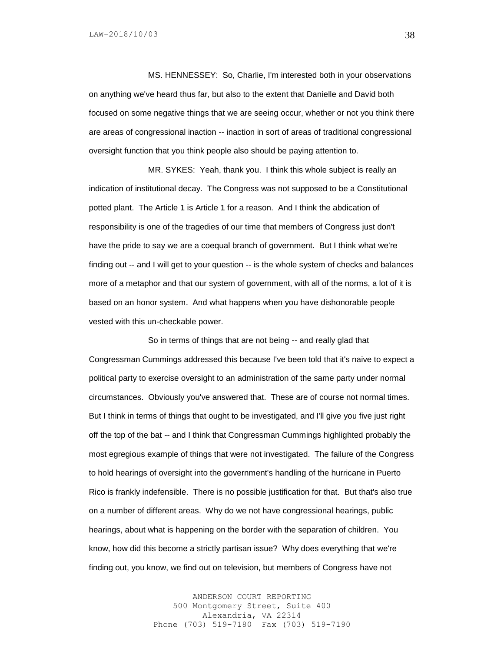MS. HENNESSEY: So, Charlie, I'm interested both in your observations on anything we've heard thus far, but also to the extent that Danielle and David both focused on some negative things that we are seeing occur, whether or not you think there are areas of congressional inaction -- inaction in sort of areas of traditional congressional oversight function that you think people also should be paying attention to.

MR. SYKES: Yeah, thank you. I think this whole subject is really an indication of institutional decay. The Congress was not supposed to be a Constitutional potted plant. The Article 1 is Article 1 for a reason. And I think the abdication of responsibility is one of the tragedies of our time that members of Congress just don't have the pride to say we are a coequal branch of government. But I think what we're finding out -- and I will get to your question -- is the whole system of checks and balances more of a metaphor and that our system of government, with all of the norms, a lot of it is based on an honor system. And what happens when you have dishonorable people vested with this un-checkable power.

So in terms of things that are not being -- and really glad that Congressman Cummings addressed this because I've been told that it's naive to expect a political party to exercise oversight to an administration of the same party under normal circumstances. Obviously you've answered that. These are of course not normal times. But I think in terms of things that ought to be investigated, and I'll give you five just right off the top of the bat -- and I think that Congressman Cummings highlighted probably the most egregious example of things that were not investigated. The failure of the Congress to hold hearings of oversight into the government's handling of the hurricane in Puerto Rico is frankly indefensible. There is no possible justification for that. But that's also true on a number of different areas. Why do we not have congressional hearings, public hearings, about what is happening on the border with the separation of children. You know, how did this become a strictly partisan issue? Why does everything that we're finding out, you know, we find out on television, but members of Congress have not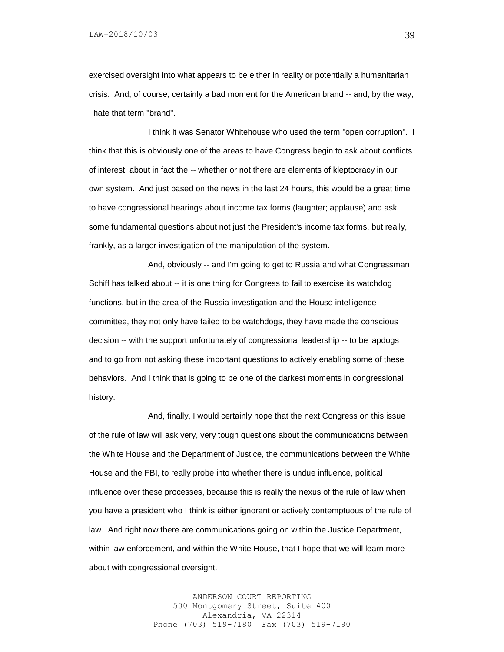exercised oversight into what appears to be either in reality or potentially a humanitarian crisis. And, of course, certainly a bad moment for the American brand -- and, by the way, I hate that term "brand".

I think it was Senator Whitehouse who used the term "open corruption". I think that this is obviously one of the areas to have Congress begin to ask about conflicts of interest, about in fact the -- whether or not there are elements of kleptocracy in our own system. And just based on the news in the last 24 hours, this would be a great time to have congressional hearings about income tax forms (laughter; applause) and ask some fundamental questions about not just the President's income tax forms, but really, frankly, as a larger investigation of the manipulation of the system.

And, obviously -- and I'm going to get to Russia and what Congressman Schiff has talked about -- it is one thing for Congress to fail to exercise its watchdog functions, but in the area of the Russia investigation and the House intelligence committee, they not only have failed to be watchdogs, they have made the conscious decision -- with the support unfortunately of congressional leadership -- to be lapdogs and to go from not asking these important questions to actively enabling some of these behaviors. And I think that is going to be one of the darkest moments in congressional history.

And, finally, I would certainly hope that the next Congress on this issue of the rule of law will ask very, very tough questions about the communications between the White House and the Department of Justice, the communications between the White House and the FBI, to really probe into whether there is undue influence, political influence over these processes, because this is really the nexus of the rule of law when you have a president who I think is either ignorant or actively contemptuous of the rule of law. And right now there are communications going on within the Justice Department, within law enforcement, and within the White House, that I hope that we will learn more about with congressional oversight.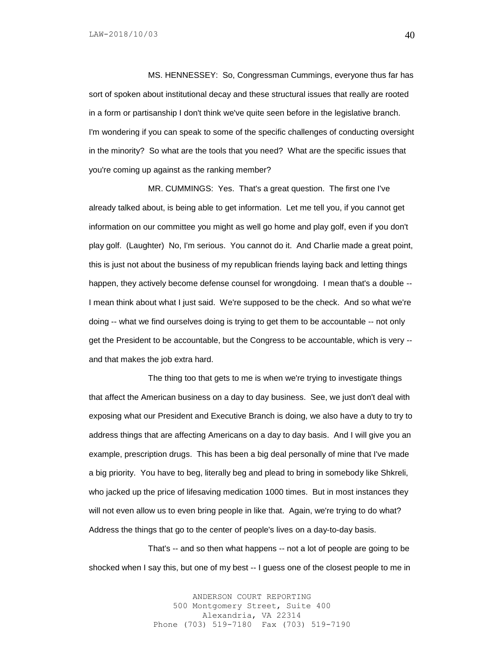MS. HENNESSEY: So, Congressman Cummings, everyone thus far has sort of spoken about institutional decay and these structural issues that really are rooted in a form or partisanship I don't think we've quite seen before in the legislative branch. I'm wondering if you can speak to some of the specific challenges of conducting oversight in the minority? So what are the tools that you need? What are the specific issues that you're coming up against as the ranking member?

MR. CUMMINGS: Yes. That's a great question. The first one I've already talked about, is being able to get information. Let me tell you, if you cannot get information on our committee you might as well go home and play golf, even if you don't play golf. (Laughter) No, I'm serious. You cannot do it. And Charlie made a great point, this is just not about the business of my republican friends laying back and letting things happen, they actively become defense counsel for wrongdoing. I mean that's a double --I mean think about what I just said. We're supposed to be the check. And so what we're doing -- what we find ourselves doing is trying to get them to be accountable -- not only get the President to be accountable, but the Congress to be accountable, which is very - and that makes the job extra hard.

The thing too that gets to me is when we're trying to investigate things that affect the American business on a day to day business. See, we just don't deal with exposing what our President and Executive Branch is doing, we also have a duty to try to address things that are affecting Americans on a day to day basis. And I will give you an example, prescription drugs. This has been a big deal personally of mine that I've made a big priority. You have to beg, literally beg and plead to bring in somebody like Shkreli, who jacked up the price of lifesaving medication 1000 times. But in most instances they will not even allow us to even bring people in like that. Again, we're trying to do what? Address the things that go to the center of people's lives on a day-to-day basis.

That's -- and so then what happens -- not a lot of people are going to be shocked when I say this, but one of my best -- I guess one of the closest people to me in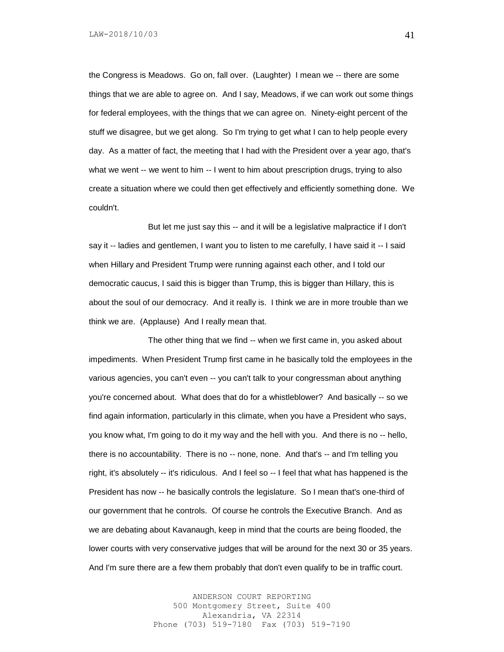the Congress is Meadows. Go on, fall over. (Laughter) I mean we -- there are some things that we are able to agree on. And I say, Meadows, if we can work out some things for federal employees, with the things that we can agree on. Ninety-eight percent of the stuff we disagree, but we get along. So I'm trying to get what I can to help people every day. As a matter of fact, the meeting that I had with the President over a year ago, that's what we went -- we went to him -- I went to him about prescription drugs, trying to also create a situation where we could then get effectively and efficiently something done. We couldn't.

But let me just say this -- and it will be a legislative malpractice if I don't say it -- ladies and gentlemen, I want you to listen to me carefully, I have said it -- I said when Hillary and President Trump were running against each other, and I told our democratic caucus, I said this is bigger than Trump, this is bigger than Hillary, this is about the soul of our democracy. And it really is. I think we are in more trouble than we think we are. (Applause) And I really mean that.

The other thing that we find -- when we first came in, you asked about impediments. When President Trump first came in he basically told the employees in the various agencies, you can't even -- you can't talk to your congressman about anything you're concerned about. What does that do for a whistleblower? And basically -- so we find again information, particularly in this climate, when you have a President who says, you know what, I'm going to do it my way and the hell with you. And there is no -- hello, there is no accountability. There is no -- none, none. And that's -- and I'm telling you right, it's absolutely -- it's ridiculous. And I feel so -- I feel that what has happened is the President has now -- he basically controls the legislature. So I mean that's one-third of our government that he controls. Of course he controls the Executive Branch. And as we are debating about Kavanaugh, keep in mind that the courts are being flooded, the lower courts with very conservative judges that will be around for the next 30 or 35 years. And I'm sure there are a few them probably that don't even qualify to be in traffic court.

> ANDERSON COURT REPORTING 500 Montgomery Street, Suite 400 Alexandria, VA 22314 Phone (703) 519-7180 Fax (703) 519-7190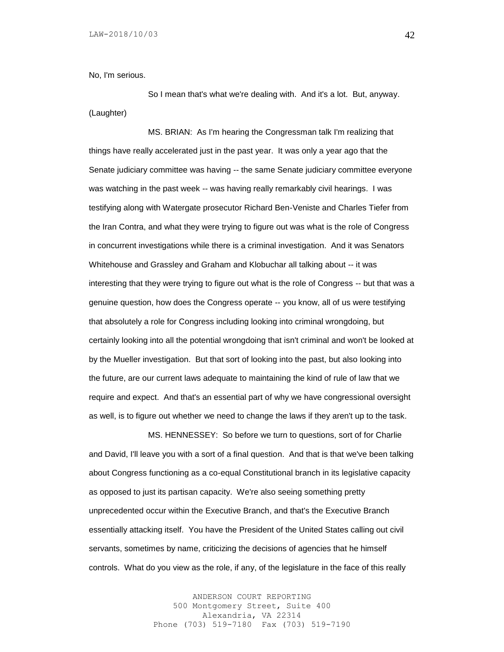No, I'm serious.

So I mean that's what we're dealing with. And it's a lot. But, anyway. (Laughter)

MS. BRIAN: As I'm hearing the Congressman talk I'm realizing that things have really accelerated just in the past year. It was only a year ago that the Senate judiciary committee was having -- the same Senate judiciary committee everyone was watching in the past week -- was having really remarkably civil hearings. I was testifying along with Watergate prosecutor Richard Ben-Veniste and Charles Tiefer from the Iran Contra, and what they were trying to figure out was what is the role of Congress in concurrent investigations while there is a criminal investigation. And it was Senators Whitehouse and Grassley and Graham and Klobuchar all talking about -- it was interesting that they were trying to figure out what is the role of Congress -- but that was a genuine question, how does the Congress operate -- you know, all of us were testifying that absolutely a role for Congress including looking into criminal wrongdoing, but certainly looking into all the potential wrongdoing that isn't criminal and won't be looked at by the Mueller investigation. But that sort of looking into the past, but also looking into the future, are our current laws adequate to maintaining the kind of rule of law that we require and expect. And that's an essential part of why we have congressional oversight as well, is to figure out whether we need to change the laws if they aren't up to the task.

MS. HENNESSEY: So before we turn to questions, sort of for Charlie and David, I'll leave you with a sort of a final question. And that is that we've been talking about Congress functioning as a co-equal Constitutional branch in its legislative capacity as opposed to just its partisan capacity. We're also seeing something pretty unprecedented occur within the Executive Branch, and that's the Executive Branch essentially attacking itself. You have the President of the United States calling out civil servants, sometimes by name, criticizing the decisions of agencies that he himself controls. What do you view as the role, if any, of the legislature in the face of this really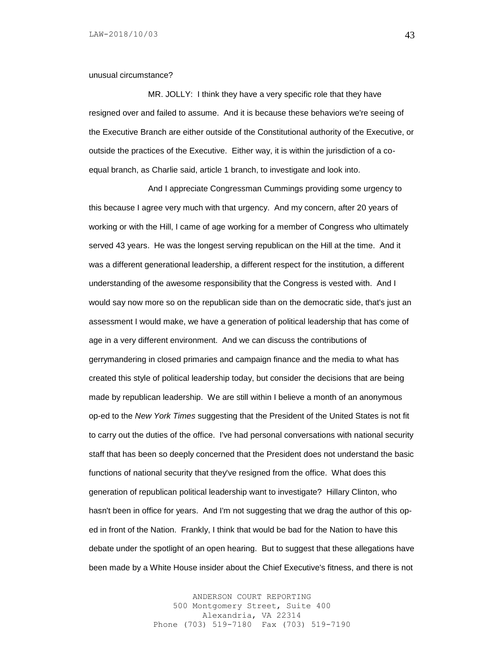unusual circumstance?

MR. JOLLY: I think they have a very specific role that they have resigned over and failed to assume. And it is because these behaviors we're seeing of the Executive Branch are either outside of the Constitutional authority of the Executive, or outside the practices of the Executive. Either way, it is within the jurisdiction of a coequal branch, as Charlie said, article 1 branch, to investigate and look into.

And I appreciate Congressman Cummings providing some urgency to this because I agree very much with that urgency. And my concern, after 20 years of working or with the Hill, I came of age working for a member of Congress who ultimately served 43 years. He was the longest serving republican on the Hill at the time. And it was a different generational leadership, a different respect for the institution, a different understanding of the awesome responsibility that the Congress is vested with. And I would say now more so on the republican side than on the democratic side, that's just an assessment I would make, we have a generation of political leadership that has come of age in a very different environment. And we can discuss the contributions of gerrymandering in closed primaries and campaign finance and the media to what has created this style of political leadership today, but consider the decisions that are being made by republican leadership. We are still within I believe a month of an anonymous op-ed to the *New York Times* suggesting that the President of the United States is not fit to carry out the duties of the office. I've had personal conversations with national security staff that has been so deeply concerned that the President does not understand the basic functions of national security that they've resigned from the office. What does this generation of republican political leadership want to investigate? Hillary Clinton, who hasn't been in office for years. And I'm not suggesting that we drag the author of this oped in front of the Nation. Frankly, I think that would be bad for the Nation to have this debate under the spotlight of an open hearing. But to suggest that these allegations have been made by a White House insider about the Chief Executive's fitness, and there is not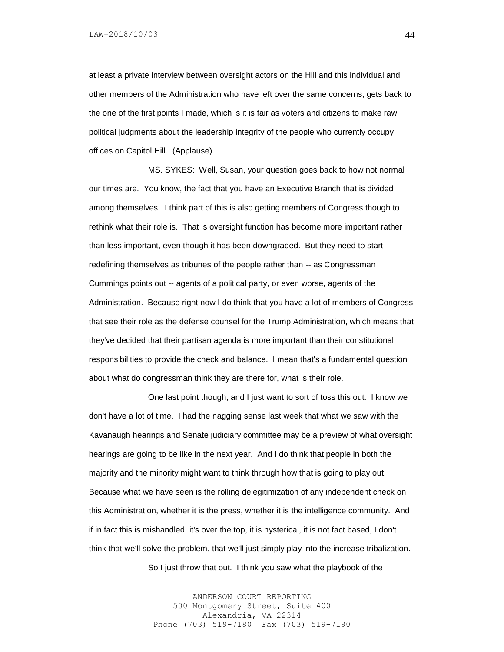LAW-2018/10/03

at least a private interview between oversight actors on the Hill and this individual and other members of the Administration who have left over the same concerns, gets back to the one of the first points I made, which is it is fair as voters and citizens to make raw political judgments about the leadership integrity of the people who currently occupy offices on Capitol Hill. (Applause)

MS. SYKES: Well, Susan, your question goes back to how not normal our times are. You know, the fact that you have an Executive Branch that is divided among themselves. I think part of this is also getting members of Congress though to rethink what their role is. That is oversight function has become more important rather than less important, even though it has been downgraded. But they need to start redefining themselves as tribunes of the people rather than -- as Congressman Cummings points out -- agents of a political party, or even worse, agents of the Administration. Because right now I do think that you have a lot of members of Congress that see their role as the defense counsel for the Trump Administration, which means that they've decided that their partisan agenda is more important than their constitutional responsibilities to provide the check and balance. I mean that's a fundamental question about what do congressman think they are there for, what is their role.

One last point though, and I just want to sort of toss this out. I know we don't have a lot of time. I had the nagging sense last week that what we saw with the Kavanaugh hearings and Senate judiciary committee may be a preview of what oversight hearings are going to be like in the next year. And I do think that people in both the majority and the minority might want to think through how that is going to play out. Because what we have seen is the rolling delegitimization of any independent check on this Administration, whether it is the press, whether it is the intelligence community. And if in fact this is mishandled, it's over the top, it is hysterical, it is not fact based, I don't think that we'll solve the problem, that we'll just simply play into the increase tribalization.

So I just throw that out. I think you saw what the playbook of the

ANDERSON COURT REPORTING 500 Montgomery Street, Suite 400 Alexandria, VA 22314 Phone (703) 519-7180 Fax (703) 519-7190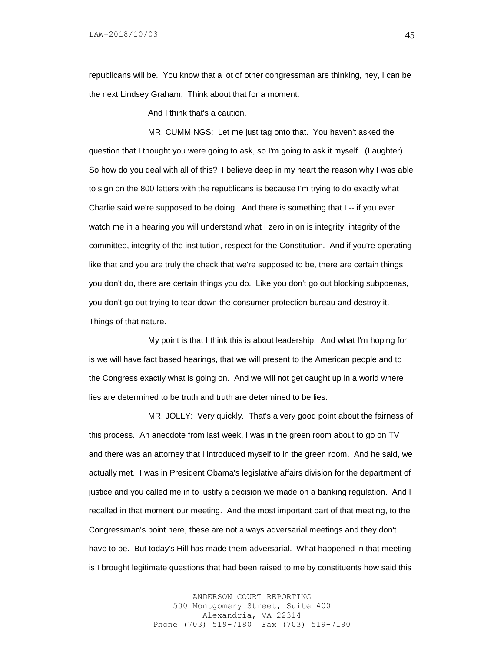republicans will be. You know that a lot of other congressman are thinking, hey, I can be the next Lindsey Graham. Think about that for a moment.

And I think that's a caution.

MR. CUMMINGS: Let me just tag onto that. You haven't asked the question that I thought you were going to ask, so I'm going to ask it myself. (Laughter) So how do you deal with all of this? I believe deep in my heart the reason why I was able to sign on the 800 letters with the republicans is because I'm trying to do exactly what Charlie said we're supposed to be doing. And there is something that I -- if you ever watch me in a hearing you will understand what I zero in on is integrity, integrity of the committee, integrity of the institution, respect for the Constitution. And if you're operating like that and you are truly the check that we're supposed to be, there are certain things you don't do, there are certain things you do. Like you don't go out blocking subpoenas, you don't go out trying to tear down the consumer protection bureau and destroy it. Things of that nature.

My point is that I think this is about leadership. And what I'm hoping for is we will have fact based hearings, that we will present to the American people and to the Congress exactly what is going on. And we will not get caught up in a world where lies are determined to be truth and truth are determined to be lies.

MR. JOLLY: Very quickly. That's a very good point about the fairness of this process. An anecdote from last week, I was in the green room about to go on TV and there was an attorney that I introduced myself to in the green room. And he said, we actually met. I was in President Obama's legislative affairs division for the department of justice and you called me in to justify a decision we made on a banking regulation. And I recalled in that moment our meeting. And the most important part of that meeting, to the Congressman's point here, these are not always adversarial meetings and they don't have to be. But today's Hill has made them adversarial. What happened in that meeting is I brought legitimate questions that had been raised to me by constituents how said this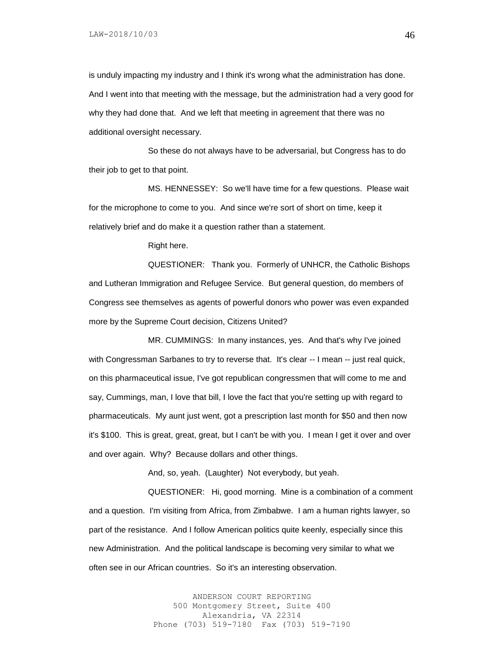is unduly impacting my industry and I think it's wrong what the administration has done. And I went into that meeting with the message, but the administration had a very good for why they had done that. And we left that meeting in agreement that there was no additional oversight necessary.

So these do not always have to be adversarial, but Congress has to do their job to get to that point.

MS. HENNESSEY: So we'll have time for a few questions. Please wait for the microphone to come to you. And since we're sort of short on time, keep it relatively brief and do make it a question rather than a statement.

Right here.

QUESTIONER: Thank you. Formerly of UNHCR, the Catholic Bishops and Lutheran Immigration and Refugee Service. But general question, do members of Congress see themselves as agents of powerful donors who power was even expanded more by the Supreme Court decision, Citizens United?

MR. CUMMINGS: In many instances, yes. And that's why I've joined with Congressman Sarbanes to try to reverse that. It's clear -- I mean -- just real quick, on this pharmaceutical issue, I've got republican congressmen that will come to me and say, Cummings, man, I love that bill, I love the fact that you're setting up with regard to pharmaceuticals. My aunt just went, got a prescription last month for \$50 and then now it's \$100. This is great, great, great, but I can't be with you. I mean I get it over and over and over again. Why? Because dollars and other things.

And, so, yeah. (Laughter) Not everybody, but yeah.

QUESTIONER: Hi, good morning. Mine is a combination of a comment and a question. I'm visiting from Africa, from Zimbabwe. I am a human rights lawyer, so part of the resistance. And I follow American politics quite keenly, especially since this new Administration. And the political landscape is becoming very similar to what we often see in our African countries. So it's an interesting observation.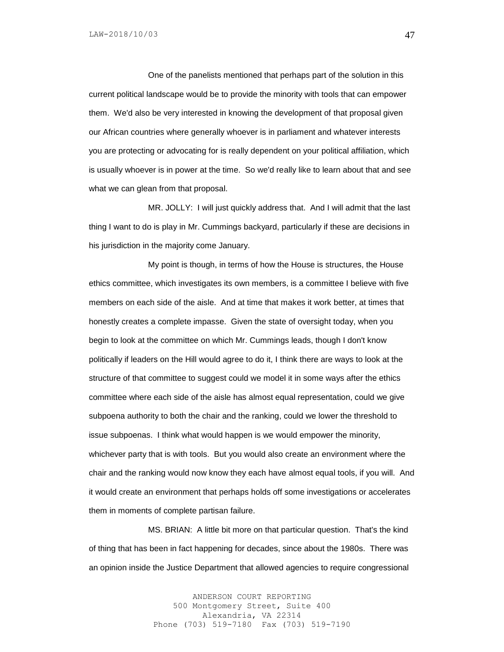One of the panelists mentioned that perhaps part of the solution in this current political landscape would be to provide the minority with tools that can empower them. We'd also be very interested in knowing the development of that proposal given our African countries where generally whoever is in parliament and whatever interests you are protecting or advocating for is really dependent on your political affiliation, which is usually whoever is in power at the time. So we'd really like to learn about that and see what we can glean from that proposal.

MR. JOLLY: I will just quickly address that. And I will admit that the last thing I want to do is play in Mr. Cummings backyard, particularly if these are decisions in his jurisdiction in the majority come January.

My point is though, in terms of how the House is structures, the House ethics committee, which investigates its own members, is a committee I believe with five members on each side of the aisle. And at time that makes it work better, at times that honestly creates a complete impasse. Given the state of oversight today, when you begin to look at the committee on which Mr. Cummings leads, though I don't know politically if leaders on the Hill would agree to do it, I think there are ways to look at the structure of that committee to suggest could we model it in some ways after the ethics committee where each side of the aisle has almost equal representation, could we give subpoena authority to both the chair and the ranking, could we lower the threshold to issue subpoenas. I think what would happen is we would empower the minority, whichever party that is with tools. But you would also create an environment where the chair and the ranking would now know they each have almost equal tools, if you will. And it would create an environment that perhaps holds off some investigations or accelerates them in moments of complete partisan failure.

MS. BRIAN: A little bit more on that particular question. That's the kind of thing that has been in fact happening for decades, since about the 1980s. There was an opinion inside the Justice Department that allowed agencies to require congressional

> ANDERSON COURT REPORTING 500 Montgomery Street, Suite 400 Alexandria, VA 22314 Phone (703) 519-7180 Fax (703) 519-7190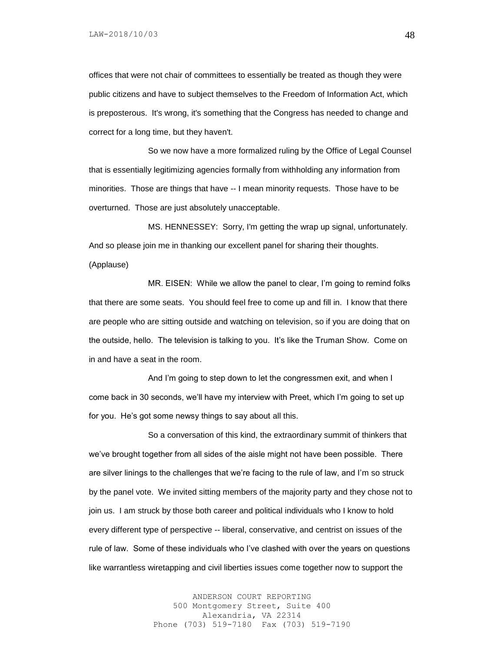offices that were not chair of committees to essentially be treated as though they were public citizens and have to subject themselves to the Freedom of Information Act, which is preposterous. It's wrong, it's something that the Congress has needed to change and correct for a long time, but they haven't.

So we now have a more formalized ruling by the Office of Legal Counsel that is essentially legitimizing agencies formally from withholding any information from minorities. Those are things that have -- I mean minority requests. Those have to be overturned. Those are just absolutely unacceptable.

MS. HENNESSEY: Sorry, I'm getting the wrap up signal, unfortunately. And so please join me in thanking our excellent panel for sharing their thoughts.

(Applause)

MR. EISEN: While we allow the panel to clear, I'm going to remind folks that there are some seats. You should feel free to come up and fill in. I know that there are people who are sitting outside and watching on television, so if you are doing that on the outside, hello. The television is talking to you. It's like the Truman Show. Come on in and have a seat in the room.

And I'm going to step down to let the congressmen exit, and when I come back in 30 seconds, we'll have my interview with Preet, which I'm going to set up for you. He's got some newsy things to say about all this.

So a conversation of this kind, the extraordinary summit of thinkers that we've brought together from all sides of the aisle might not have been possible. There are silver linings to the challenges that we're facing to the rule of law, and I'm so struck by the panel vote. We invited sitting members of the majority party and they chose not to join us. I am struck by those both career and political individuals who I know to hold every different type of perspective -- liberal, conservative, and centrist on issues of the rule of law. Some of these individuals who I've clashed with over the years on questions like warrantless wiretapping and civil liberties issues come together now to support the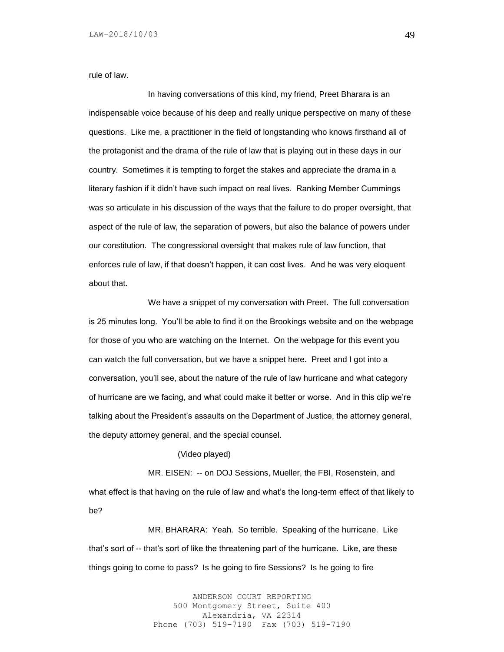rule of law.

In having conversations of this kind, my friend, Preet Bharara is an indispensable voice because of his deep and really unique perspective on many of these questions. Like me, a practitioner in the field of longstanding who knows firsthand all of the protagonist and the drama of the rule of law that is playing out in these days in our country. Sometimes it is tempting to forget the stakes and appreciate the drama in a literary fashion if it didn't have such impact on real lives. Ranking Member Cummings was so articulate in his discussion of the ways that the failure to do proper oversight, that aspect of the rule of law, the separation of powers, but also the balance of powers under our constitution. The congressional oversight that makes rule of law function, that enforces rule of law, if that doesn't happen, it can cost lives. And he was very eloquent about that.

We have a snippet of my conversation with Preet. The full conversation is 25 minutes long. You'll be able to find it on the Brookings website and on the webpage for those of you who are watching on the Internet. On the webpage for this event you can watch the full conversation, but we have a snippet here. Preet and I got into a conversation, you'll see, about the nature of the rule of law hurricane and what category of hurricane are we facing, and what could make it better or worse. And in this clip we're talking about the President's assaults on the Department of Justice, the attorney general, the deputy attorney general, and the special counsel.

## (Video played)

MR. EISEN: -- on DOJ Sessions, Mueller, the FBI, Rosenstein, and what effect is that having on the rule of law and what's the long-term effect of that likely to be?

MR. BHARARA: Yeah. So terrible. Speaking of the hurricane. Like that's sort of -- that's sort of like the threatening part of the hurricane. Like, are these things going to come to pass? Is he going to fire Sessions? Is he going to fire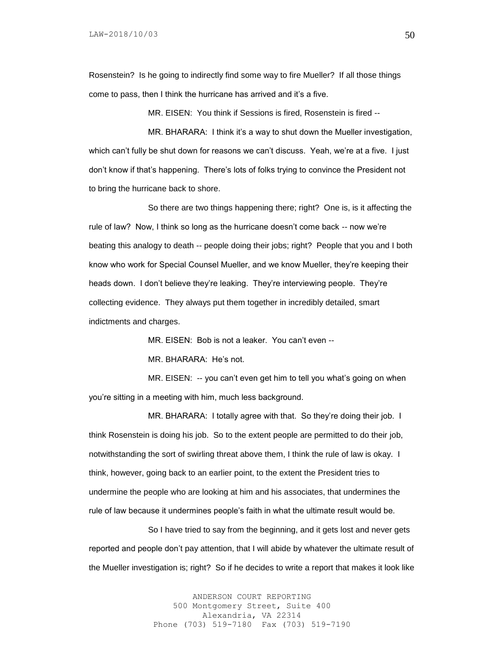Rosenstein? Is he going to indirectly find some way to fire Mueller? If all those things come to pass, then I think the hurricane has arrived and it's a five.

MR. EISEN: You think if Sessions is fired, Rosenstein is fired --

MR. BHARARA: I think it's a way to shut down the Mueller investigation, which can't fully be shut down for reasons we can't discuss. Yeah, we're at a five. I just don't know if that's happening. There's lots of folks trying to convince the President not to bring the hurricane back to shore.

So there are two things happening there; right? One is, is it affecting the rule of law? Now, I think so long as the hurricane doesn't come back -- now we're beating this analogy to death -- people doing their jobs; right? People that you and I both know who work for Special Counsel Mueller, and we know Mueller, they're keeping their heads down. I don't believe they're leaking. They're interviewing people. They're collecting evidence. They always put them together in incredibly detailed, smart indictments and charges.

MR. EISEN: Bob is not a leaker. You can't even --

MR. BHARARA: He's not.

MR. EISEN: -- you can't even get him to tell you what's going on when you're sitting in a meeting with him, much less background.

MR. BHARARA: I totally agree with that. So they're doing their job. I think Rosenstein is doing his job. So to the extent people are permitted to do their job, notwithstanding the sort of swirling threat above them, I think the rule of law is okay. I think, however, going back to an earlier point, to the extent the President tries to undermine the people who are looking at him and his associates, that undermines the rule of law because it undermines people's faith in what the ultimate result would be.

So I have tried to say from the beginning, and it gets lost and never gets reported and people don't pay attention, that I will abide by whatever the ultimate result of the Mueller investigation is; right? So if he decides to write a report that makes it look like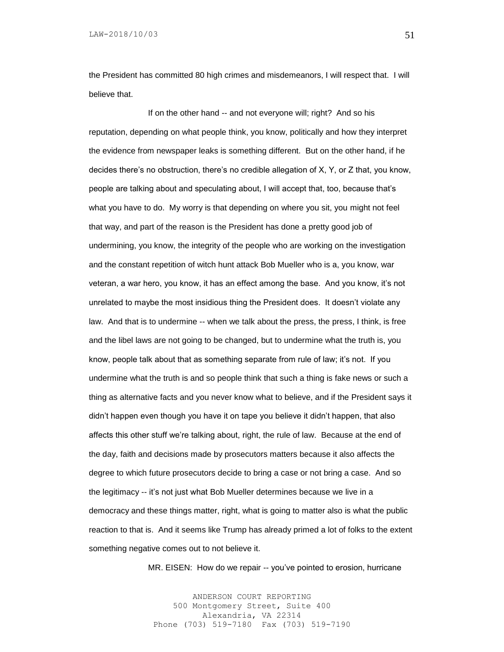LAW-2018/10/03

the President has committed 80 high crimes and misdemeanors, I will respect that. I will believe that.

If on the other hand -- and not everyone will; right? And so his reputation, depending on what people think, you know, politically and how they interpret the evidence from newspaper leaks is something different. But on the other hand, if he decides there's no obstruction, there's no credible allegation of X, Y, or Z that, you know, people are talking about and speculating about, I will accept that, too, because that's what you have to do. My worry is that depending on where you sit, you might not feel that way, and part of the reason is the President has done a pretty good job of undermining, you know, the integrity of the people who are working on the investigation and the constant repetition of witch hunt attack Bob Mueller who is a, you know, war veteran, a war hero, you know, it has an effect among the base. And you know, it's not unrelated to maybe the most insidious thing the President does. It doesn't violate any law. And that is to undermine -- when we talk about the press, the press, I think, is free and the libel laws are not going to be changed, but to undermine what the truth is, you know, people talk about that as something separate from rule of law; it's not. If you undermine what the truth is and so people think that such a thing is fake news or such a thing as alternative facts and you never know what to believe, and if the President says it didn't happen even though you have it on tape you believe it didn't happen, that also affects this other stuff we're talking about, right, the rule of law. Because at the end of the day, faith and decisions made by prosecutors matters because it also affects the degree to which future prosecutors decide to bring a case or not bring a case. And so the legitimacy -- it's not just what Bob Mueller determines because we live in a democracy and these things matter, right, what is going to matter also is what the public reaction to that is. And it seems like Trump has already primed a lot of folks to the extent something negative comes out to not believe it.

MR. EISEN: How do we repair -- you've pointed to erosion, hurricane

ANDERSON COURT REPORTING 500 Montgomery Street, Suite 400 Alexandria, VA 22314 Phone (703) 519-7180 Fax (703) 519-7190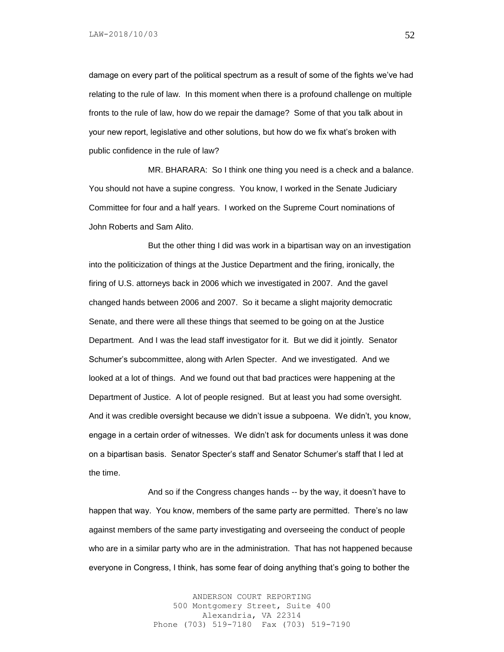LAW-2018/10/03

damage on every part of the political spectrum as a result of some of the fights we've had relating to the rule of law. In this moment when there is a profound challenge on multiple fronts to the rule of law, how do we repair the damage? Some of that you talk about in your new report, legislative and other solutions, but how do we fix what's broken with public confidence in the rule of law?

MR. BHARARA: So I think one thing you need is a check and a balance. You should not have a supine congress. You know, I worked in the Senate Judiciary Committee for four and a half years. I worked on the Supreme Court nominations of John Roberts and Sam Alito.

But the other thing I did was work in a bipartisan way on an investigation into the politicization of things at the Justice Department and the firing, ironically, the firing of U.S. attorneys back in 2006 which we investigated in 2007. And the gavel changed hands between 2006 and 2007. So it became a slight majority democratic Senate, and there were all these things that seemed to be going on at the Justice Department. And I was the lead staff investigator for it. But we did it jointly. Senator Schumer's subcommittee, along with Arlen Specter. And we investigated. And we looked at a lot of things. And we found out that bad practices were happening at the Department of Justice. A lot of people resigned. But at least you had some oversight. And it was credible oversight because we didn't issue a subpoena. We didn't, you know, engage in a certain order of witnesses. We didn't ask for documents unless it was done on a bipartisan basis. Senator Specter's staff and Senator Schumer's staff that I led at the time.

And so if the Congress changes hands -- by the way, it doesn't have to happen that way. You know, members of the same party are permitted. There's no law against members of the same party investigating and overseeing the conduct of people who are in a similar party who are in the administration. That has not happened because everyone in Congress, I think, has some fear of doing anything that's going to bother the

> ANDERSON COURT REPORTING 500 Montgomery Street, Suite 400 Alexandria, VA 22314 Phone (703) 519-7180 Fax (703) 519-7190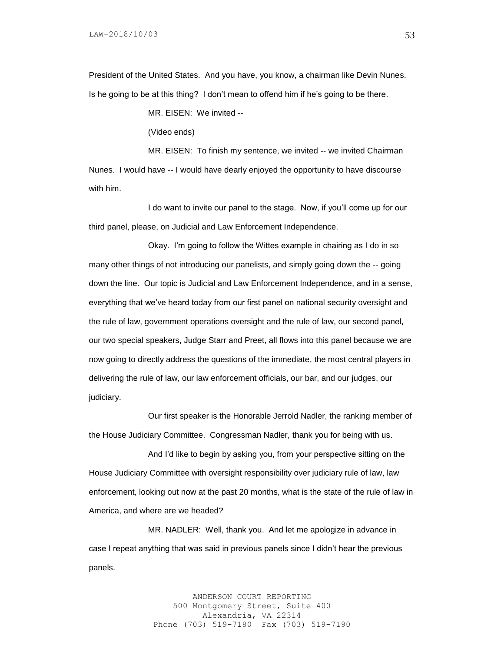President of the United States. And you have, you know, a chairman like Devin Nunes. Is he going to be at this thing? I don't mean to offend him if he's going to be there.

MR. EISEN: We invited --

(Video ends)

MR. EISEN: To finish my sentence, we invited -- we invited Chairman Nunes. I would have -- I would have dearly enjoyed the opportunity to have discourse with him.

I do want to invite our panel to the stage. Now, if you'll come up for our third panel, please, on Judicial and Law Enforcement Independence.

Okay. I'm going to follow the Wittes example in chairing as I do in so many other things of not introducing our panelists, and simply going down the -- going down the line. Our topic is Judicial and Law Enforcement Independence, and in a sense, everything that we've heard today from our first panel on national security oversight and the rule of law, government operations oversight and the rule of law, our second panel, our two special speakers, Judge Starr and Preet, all flows into this panel because we are now going to directly address the questions of the immediate, the most central players in delivering the rule of law, our law enforcement officials, our bar, and our judges, our judiciary.

Our first speaker is the Honorable Jerrold Nadler, the ranking member of the House Judiciary Committee. Congressman Nadler, thank you for being with us.

And I'd like to begin by asking you, from your perspective sitting on the House Judiciary Committee with oversight responsibility over judiciary rule of law, law enforcement, looking out now at the past 20 months, what is the state of the rule of law in America, and where are we headed?

MR. NADLER: Well, thank you. And let me apologize in advance in case I repeat anything that was said in previous panels since I didn't hear the previous panels.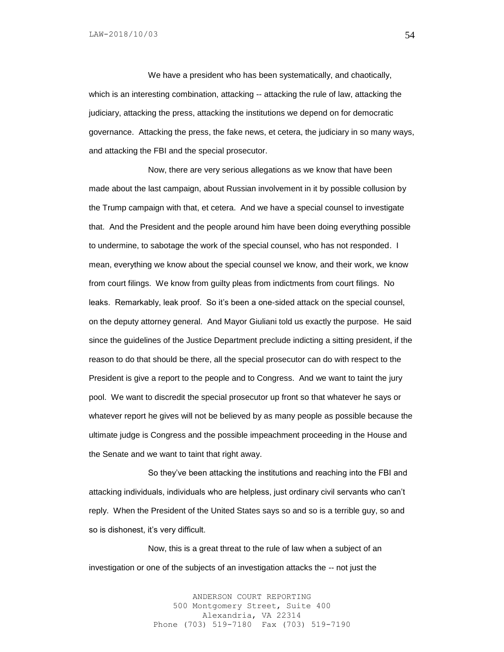We have a president who has been systematically, and chaotically, which is an interesting combination, attacking -- attacking the rule of law, attacking the judiciary, attacking the press, attacking the institutions we depend on for democratic governance. Attacking the press, the fake news, et cetera, the judiciary in so many ways, and attacking the FBI and the special prosecutor.

Now, there are very serious allegations as we know that have been made about the last campaign, about Russian involvement in it by possible collusion by the Trump campaign with that, et cetera. And we have a special counsel to investigate that. And the President and the people around him have been doing everything possible to undermine, to sabotage the work of the special counsel, who has not responded. I mean, everything we know about the special counsel we know, and their work, we know from court filings. We know from guilty pleas from indictments from court filings. No leaks. Remarkably, leak proof. So it's been a one-sided attack on the special counsel, on the deputy attorney general. And Mayor Giuliani told us exactly the purpose. He said since the guidelines of the Justice Department preclude indicting a sitting president, if the reason to do that should be there, all the special prosecutor can do with respect to the President is give a report to the people and to Congress. And we want to taint the jury pool. We want to discredit the special prosecutor up front so that whatever he says or whatever report he gives will not be believed by as many people as possible because the ultimate judge is Congress and the possible impeachment proceeding in the House and the Senate and we want to taint that right away.

So they've been attacking the institutions and reaching into the FBI and attacking individuals, individuals who are helpless, just ordinary civil servants who can't reply. When the President of the United States says so and so is a terrible guy, so and so is dishonest, it's very difficult.

Now, this is a great threat to the rule of law when a subject of an investigation or one of the subjects of an investigation attacks the -- not just the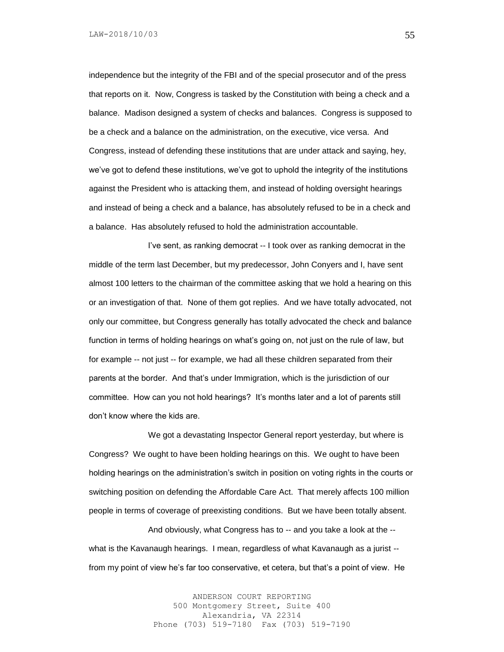independence but the integrity of the FBI and of the special prosecutor and of the press that reports on it. Now, Congress is tasked by the Constitution with being a check and a balance. Madison designed a system of checks and balances. Congress is supposed to be a check and a balance on the administration, on the executive, vice versa. And Congress, instead of defending these institutions that are under attack and saying, hey, we've got to defend these institutions, we've got to uphold the integrity of the institutions against the President who is attacking them, and instead of holding oversight hearings and instead of being a check and a balance, has absolutely refused to be in a check and a balance. Has absolutely refused to hold the administration accountable.

I've sent, as ranking democrat -- I took over as ranking democrat in the middle of the term last December, but my predecessor, John Conyers and I, have sent almost 100 letters to the chairman of the committee asking that we hold a hearing on this or an investigation of that. None of them got replies. And we have totally advocated, not only our committee, but Congress generally has totally advocated the check and balance function in terms of holding hearings on what's going on, not just on the rule of law, but for example -- not just -- for example, we had all these children separated from their parents at the border. And that's under Immigration, which is the jurisdiction of our committee. How can you not hold hearings? It's months later and a lot of parents still don't know where the kids are.

We got a devastating Inspector General report yesterday, but where is Congress? We ought to have been holding hearings on this. We ought to have been holding hearings on the administration's switch in position on voting rights in the courts or switching position on defending the Affordable Care Act. That merely affects 100 million people in terms of coverage of preexisting conditions. But we have been totally absent.

And obviously, what Congress has to -- and you take a look at the - what is the Kavanaugh hearings. I mean, regardless of what Kavanaugh as a jurist - from my point of view he's far too conservative, et cetera, but that's a point of view. He

> ANDERSON COURT REPORTING 500 Montgomery Street, Suite 400 Alexandria, VA 22314 Phone (703) 519-7180 Fax (703) 519-7190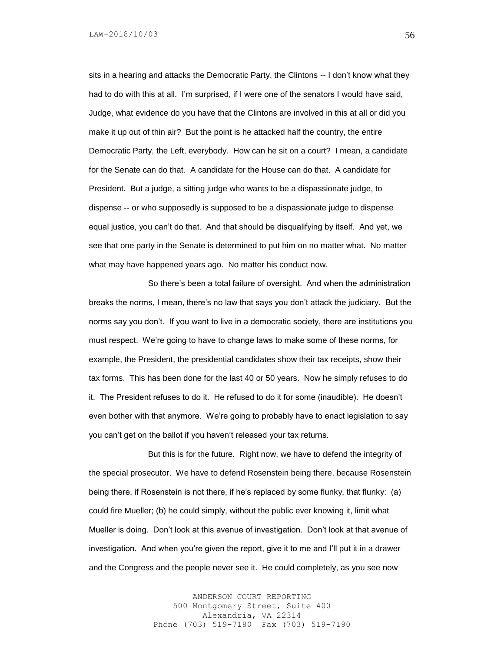sits in a hearing and attacks the Democratic Party, the Clintons -- I don't know what they had to do with this at all. I'm surprised, if I were one of the senators I would have said, Judge, what evidence do you have that the Clintons are involved in this at all or did you make it up out of thin air? But the point is he attacked half the country, the entire Democratic Party, the Left, everybody. How can he sit on a court? I mean, a candidate for the Senate can do that. A candidate for the House can do that. A candidate for President. But a judge, a sitting judge who wants to be a dispassionate judge, to dispense -- or who supposedly is supposed to be a dispassionate judge to dispense equal justice, you can't do that. And that should be disqualifying by itself. And yet, we see that one party in the Senate is determined to put him on no matter what. No matter what may have happened years ago. No matter his conduct now.

So there's been a total failure of oversight. And when the administration breaks the norms, I mean, there's no law that says you don't attack the judiciary. But the norms say you don't. If you want to live in a democratic society, there are institutions you must respect. We're going to have to change laws to make some of these norms, for example, the President, the presidential candidates show their tax receipts, show their tax forms. This has been done for the last 40 or 50 years. Now he simply refuses to do it. The President refuses to do it. He refused to do it for some (inaudible). He doesn't even bother with that anymore. We're going to probably have to enact legislation to say you can't get on the ballot if you haven't released your tax returns.

But this is for the future. Right now, we have to defend the integrity of the special prosecutor. We have to defend Rosenstein being there, because Rosenstein being there, if Rosenstein is not there, if he's replaced by some flunky, that flunky: (a) could fire Mueller; (b) he could simply, without the public ever knowing it, limit what Mueller is doing. Don't look at this avenue of investigation. Don't look at that avenue of investigation. And when you're given the report, give it to me and I'll put it in a drawer and the Congress and the people never see it. He could completely, as you see now

> ANDERSON COURT REPORTING 500 Montgomery Street, Suite 400 Alexandria, VA 22314 Phone (703) 519-7180 Fax (703) 519-7190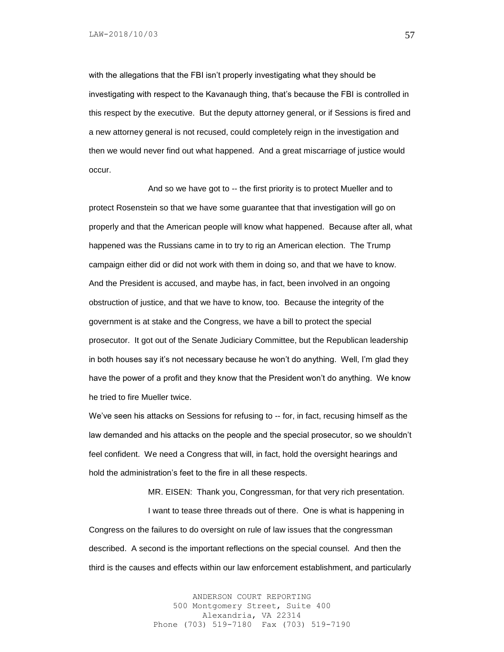with the allegations that the FBI isn't properly investigating what they should be investigating with respect to the Kavanaugh thing, that's because the FBI is controlled in this respect by the executive. But the deputy attorney general, or if Sessions is fired and a new attorney general is not recused, could completely reign in the investigation and then we would never find out what happened. And a great miscarriage of justice would occur.

And so we have got to -- the first priority is to protect Mueller and to protect Rosenstein so that we have some guarantee that that investigation will go on properly and that the American people will know what happened. Because after all, what happened was the Russians came in to try to rig an American election. The Trump campaign either did or did not work with them in doing so, and that we have to know. And the President is accused, and maybe has, in fact, been involved in an ongoing obstruction of justice, and that we have to know, too. Because the integrity of the government is at stake and the Congress, we have a bill to protect the special prosecutor. It got out of the Senate Judiciary Committee, but the Republican leadership in both houses say it's not necessary because he won't do anything. Well, I'm glad they have the power of a profit and they know that the President won't do anything. We know he tried to fire Mueller twice.

We've seen his attacks on Sessions for refusing to -- for, in fact, recusing himself as the law demanded and his attacks on the people and the special prosecutor, so we shouldn't feel confident. We need a Congress that will, in fact, hold the oversight hearings and hold the administration's feet to the fire in all these respects.

MR. EISEN: Thank you, Congressman, for that very rich presentation.

I want to tease three threads out of there. One is what is happening in Congress on the failures to do oversight on rule of law issues that the congressman described. A second is the important reflections on the special counsel. And then the third is the causes and effects within our law enforcement establishment, and particularly

> ANDERSON COURT REPORTING 500 Montgomery Street, Suite 400 Alexandria, VA 22314 Phone (703) 519-7180 Fax (703) 519-7190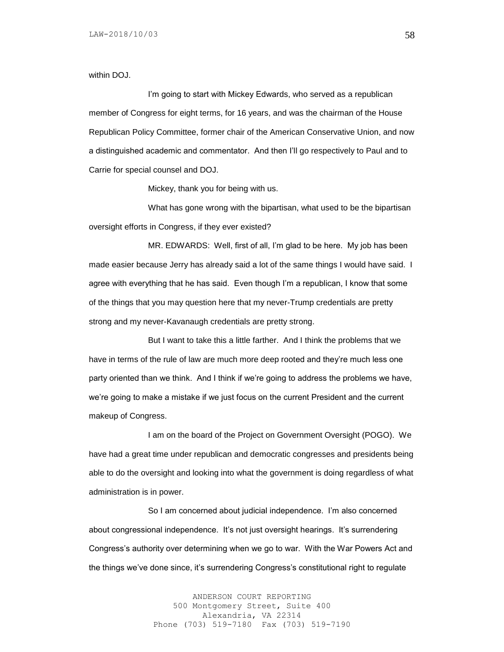within DOJ.

I'm going to start with Mickey Edwards, who served as a republican member of Congress for eight terms, for 16 years, and was the chairman of the House Republican Policy Committee, former chair of the American Conservative Union, and now a distinguished academic and commentator. And then I'll go respectively to Paul and to Carrie for special counsel and DOJ.

Mickey, thank you for being with us.

What has gone wrong with the bipartisan, what used to be the bipartisan oversight efforts in Congress, if they ever existed?

MR. EDWARDS: Well, first of all, I'm glad to be here. My job has been made easier because Jerry has already said a lot of the same things I would have said. I agree with everything that he has said. Even though I'm a republican, I know that some of the things that you may question here that my never-Trump credentials are pretty strong and my never-Kavanaugh credentials are pretty strong.

But I want to take this a little farther. And I think the problems that we have in terms of the rule of law are much more deep rooted and they're much less one party oriented than we think. And I think if we're going to address the problems we have, we're going to make a mistake if we just focus on the current President and the current makeup of Congress.

I am on the board of the Project on Government Oversight (POGO). We have had a great time under republican and democratic congresses and presidents being able to do the oversight and looking into what the government is doing regardless of what administration is in power.

So I am concerned about judicial independence. I'm also concerned about congressional independence. It's not just oversight hearings. It's surrendering Congress's authority over determining when we go to war. With the War Powers Act and the things we've done since, it's surrendering Congress's constitutional right to regulate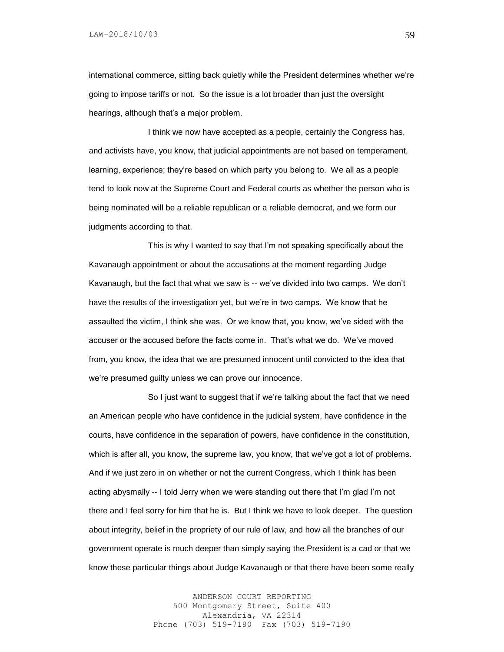international commerce, sitting back quietly while the President determines whether we're going to impose tariffs or not. So the issue is a lot broader than just the oversight hearings, although that's a major problem.

I think we now have accepted as a people, certainly the Congress has, and activists have, you know, that judicial appointments are not based on temperament, learning, experience; they're based on which party you belong to. We all as a people tend to look now at the Supreme Court and Federal courts as whether the person who is being nominated will be a reliable republican or a reliable democrat, and we form our judgments according to that.

This is why I wanted to say that I'm not speaking specifically about the Kavanaugh appointment or about the accusations at the moment regarding Judge Kavanaugh, but the fact that what we saw is -- we've divided into two camps. We don't have the results of the investigation yet, but we're in two camps. We know that he assaulted the victim, I think she was. Or we know that, you know, we've sided with the accuser or the accused before the facts come in. That's what we do. We've moved from, you know, the idea that we are presumed innocent until convicted to the idea that we're presumed guilty unless we can prove our innocence.

So I just want to suggest that if we're talking about the fact that we need an American people who have confidence in the judicial system, have confidence in the courts, have confidence in the separation of powers, have confidence in the constitution, which is after all, you know, the supreme law, you know, that we've got a lot of problems. And if we just zero in on whether or not the current Congress, which I think has been acting abysmally -- I told Jerry when we were standing out there that I'm glad I'm not there and I feel sorry for him that he is. But I think we have to look deeper. The question about integrity, belief in the propriety of our rule of law, and how all the branches of our government operate is much deeper than simply saying the President is a cad or that we know these particular things about Judge Kavanaugh or that there have been some really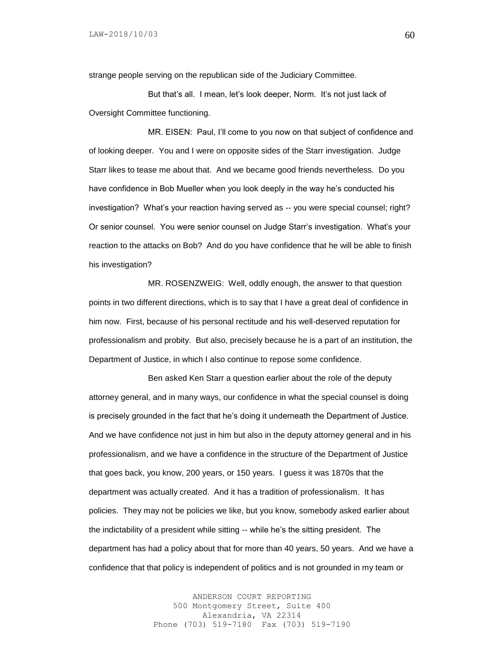strange people serving on the republican side of the Judiciary Committee.

But that's all. I mean, let's look deeper, Norm. It's not just lack of Oversight Committee functioning.

MR. EISEN: Paul, I'll come to you now on that subject of confidence and of looking deeper. You and I were on opposite sides of the Starr investigation. Judge Starr likes to tease me about that. And we became good friends nevertheless. Do you have confidence in Bob Mueller when you look deeply in the way he's conducted his investigation? What's your reaction having served as -- you were special counsel; right? Or senior counsel. You were senior counsel on Judge Starr's investigation. What's your reaction to the attacks on Bob? And do you have confidence that he will be able to finish his investigation?

MR. ROSENZWEIG: Well, oddly enough, the answer to that question points in two different directions, which is to say that I have a great deal of confidence in him now. First, because of his personal rectitude and his well-deserved reputation for professionalism and probity. But also, precisely because he is a part of an institution, the Department of Justice, in which I also continue to repose some confidence.

Ben asked Ken Starr a question earlier about the role of the deputy attorney general, and in many ways, our confidence in what the special counsel is doing is precisely grounded in the fact that he's doing it underneath the Department of Justice. And we have confidence not just in him but also in the deputy attorney general and in his professionalism, and we have a confidence in the structure of the Department of Justice that goes back, you know, 200 years, or 150 years. I guess it was 1870s that the department was actually created. And it has a tradition of professionalism. It has policies. They may not be policies we like, but you know, somebody asked earlier about the indictability of a president while sitting -- while he's the sitting president. The department has had a policy about that for more than 40 years, 50 years. And we have a confidence that that policy is independent of politics and is not grounded in my team or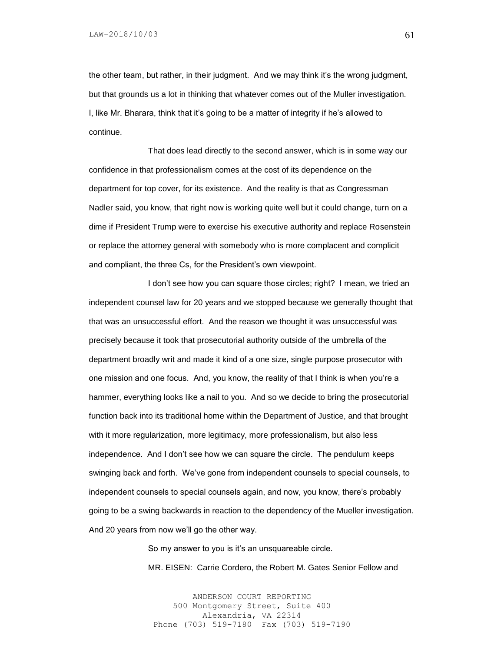the other team, but rather, in their judgment. And we may think it's the wrong judgment, but that grounds us a lot in thinking that whatever comes out of the Muller investigation. I, like Mr. Bharara, think that it's going to be a matter of integrity if he's allowed to continue.

That does lead directly to the second answer, which is in some way our confidence in that professionalism comes at the cost of its dependence on the department for top cover, for its existence. And the reality is that as Congressman Nadler said, you know, that right now is working quite well but it could change, turn on a dime if President Trump were to exercise his executive authority and replace Rosenstein or replace the attorney general with somebody who is more complacent and complicit and compliant, the three Cs, for the President's own viewpoint.

I don't see how you can square those circles; right? I mean, we tried an independent counsel law for 20 years and we stopped because we generally thought that that was an unsuccessful effort. And the reason we thought it was unsuccessful was precisely because it took that prosecutorial authority outside of the umbrella of the department broadly writ and made it kind of a one size, single purpose prosecutor with one mission and one focus. And, you know, the reality of that I think is when you're a hammer, everything looks like a nail to you. And so we decide to bring the prosecutorial function back into its traditional home within the Department of Justice, and that brought with it more regularization, more legitimacy, more professionalism, but also less independence. And I don't see how we can square the circle. The pendulum keeps swinging back and forth. We've gone from independent counsels to special counsels, to independent counsels to special counsels again, and now, you know, there's probably going to be a swing backwards in reaction to the dependency of the Mueller investigation. And 20 years from now we'll go the other way.

> So my answer to you is it's an unsquareable circle. MR. EISEN: Carrie Cordero, the Robert M. Gates Senior Fellow and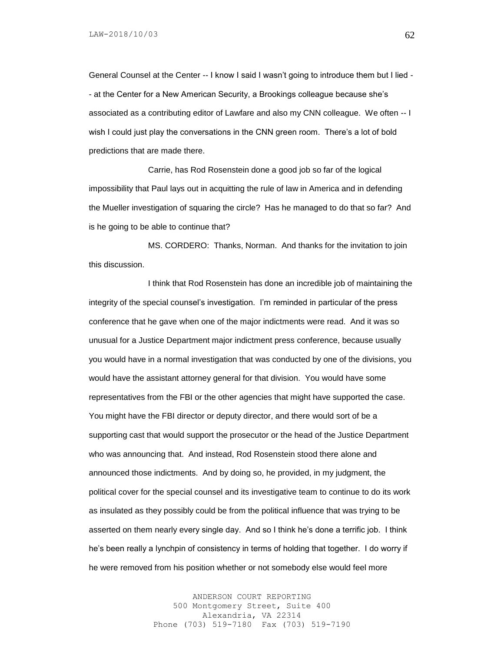General Counsel at the Center -- I know I said I wasn't going to introduce them but I lied - - at the Center for a New American Security, a Brookings colleague because she's associated as a contributing editor of Lawfare and also my CNN colleague. We often -- I wish I could just play the conversations in the CNN green room. There's a lot of bold predictions that are made there.

Carrie, has Rod Rosenstein done a good job so far of the logical impossibility that Paul lays out in acquitting the rule of law in America and in defending the Mueller investigation of squaring the circle? Has he managed to do that so far? And is he going to be able to continue that?

MS. CORDERO: Thanks, Norman. And thanks for the invitation to join this discussion.

I think that Rod Rosenstein has done an incredible job of maintaining the integrity of the special counsel's investigation. I'm reminded in particular of the press conference that he gave when one of the major indictments were read. And it was so unusual for a Justice Department major indictment press conference, because usually you would have in a normal investigation that was conducted by one of the divisions, you would have the assistant attorney general for that division. You would have some representatives from the FBI or the other agencies that might have supported the case. You might have the FBI director or deputy director, and there would sort of be a supporting cast that would support the prosecutor or the head of the Justice Department who was announcing that. And instead, Rod Rosenstein stood there alone and announced those indictments. And by doing so, he provided, in my judgment, the political cover for the special counsel and its investigative team to continue to do its work as insulated as they possibly could be from the political influence that was trying to be asserted on them nearly every single day. And so I think he's done a terrific job. I think he's been really a lynchpin of consistency in terms of holding that together. I do worry if he were removed from his position whether or not somebody else would feel more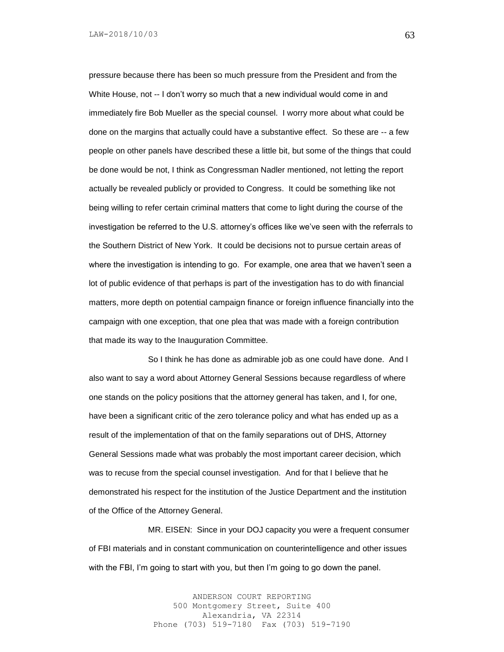pressure because there has been so much pressure from the President and from the White House, not -- I don't worry so much that a new individual would come in and immediately fire Bob Mueller as the special counsel. I worry more about what could be done on the margins that actually could have a substantive effect. So these are -- a few people on other panels have described these a little bit, but some of the things that could be done would be not, I think as Congressman Nadler mentioned, not letting the report actually be revealed publicly or provided to Congress. It could be something like not being willing to refer certain criminal matters that come to light during the course of the investigation be referred to the U.S. attorney's offices like we've seen with the referrals to the Southern District of New York. It could be decisions not to pursue certain areas of where the investigation is intending to go. For example, one area that we haven't seen a lot of public evidence of that perhaps is part of the investigation has to do with financial matters, more depth on potential campaign finance or foreign influence financially into the campaign with one exception, that one plea that was made with a foreign contribution that made its way to the Inauguration Committee.

So I think he has done as admirable job as one could have done. And I also want to say a word about Attorney General Sessions because regardless of where one stands on the policy positions that the attorney general has taken, and I, for one, have been a significant critic of the zero tolerance policy and what has ended up as a result of the implementation of that on the family separations out of DHS, Attorney General Sessions made what was probably the most important career decision, which was to recuse from the special counsel investigation. And for that I believe that he demonstrated his respect for the institution of the Justice Department and the institution of the Office of the Attorney General.

MR. EISEN: Since in your DOJ capacity you were a frequent consumer of FBI materials and in constant communication on counterintelligence and other issues with the FBI, I'm going to start with you, but then I'm going to go down the panel.

> ANDERSON COURT REPORTING 500 Montgomery Street, Suite 400 Alexandria, VA 22314 Phone (703) 519-7180 Fax (703) 519-7190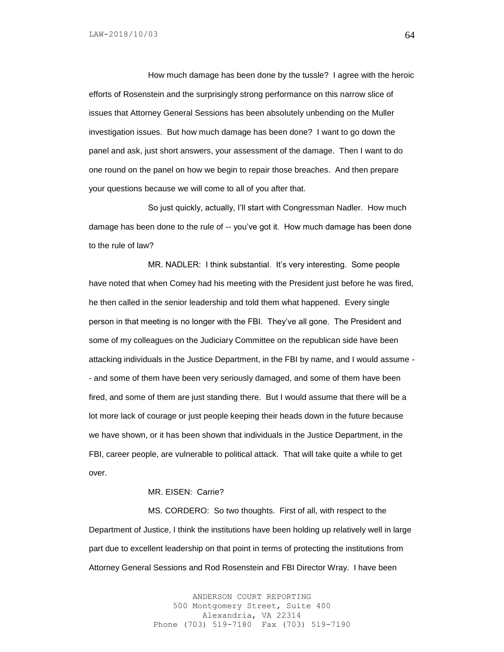How much damage has been done by the tussle? I agree with the heroic efforts of Rosenstein and the surprisingly strong performance on this narrow slice of issues that Attorney General Sessions has been absolutely unbending on the Muller investigation issues. But how much damage has been done? I want to go down the panel and ask, just short answers, your assessment of the damage. Then I want to do one round on the panel on how we begin to repair those breaches. And then prepare your questions because we will come to all of you after that.

So just quickly, actually, I'll start with Congressman Nadler. How much damage has been done to the rule of -- you've got it. How much damage has been done to the rule of law?

MR. NADLER: I think substantial. It's very interesting. Some people have noted that when Comey had his meeting with the President just before he was fired, he then called in the senior leadership and told them what happened. Every single person in that meeting is no longer with the FBI. They've all gone. The President and some of my colleagues on the Judiciary Committee on the republican side have been attacking individuals in the Justice Department, in the FBI by name, and I would assume - - and some of them have been very seriously damaged, and some of them have been fired, and some of them are just standing there. But I would assume that there will be a lot more lack of courage or just people keeping their heads down in the future because we have shown, or it has been shown that individuals in the Justice Department, in the FBI, career people, are vulnerable to political attack. That will take quite a while to get over.

## MR. EISEN: Carrie?

MS. CORDERO: So two thoughts. First of all, with respect to the Department of Justice, I think the institutions have been holding up relatively well in large part due to excellent leadership on that point in terms of protecting the institutions from Attorney General Sessions and Rod Rosenstein and FBI Director Wray. I have been

> ANDERSON COURT REPORTING 500 Montgomery Street, Suite 400 Alexandria, VA 22314 Phone (703) 519-7180 Fax (703) 519-7190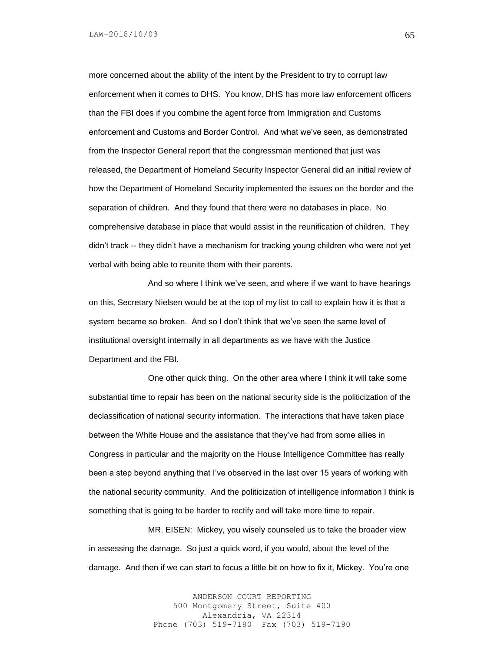more concerned about the ability of the intent by the President to try to corrupt law enforcement when it comes to DHS. You know, DHS has more law enforcement officers than the FBI does if you combine the agent force from Immigration and Customs enforcement and Customs and Border Control. And what we've seen, as demonstrated from the Inspector General report that the congressman mentioned that just was released, the Department of Homeland Security Inspector General did an initial review of how the Department of Homeland Security implemented the issues on the border and the separation of children. And they found that there were no databases in place. No comprehensive database in place that would assist in the reunification of children. They didn't track -- they didn't have a mechanism for tracking young children who were not yet verbal with being able to reunite them with their parents.

And so where I think we've seen, and where if we want to have hearings on this, Secretary Nielsen would be at the top of my list to call to explain how it is that a system became so broken. And so I don't think that we've seen the same level of institutional oversight internally in all departments as we have with the Justice Department and the FBI.

One other quick thing. On the other area where I think it will take some substantial time to repair has been on the national security side is the politicization of the declassification of national security information. The interactions that have taken place between the White House and the assistance that they've had from some allies in Congress in particular and the majority on the House Intelligence Committee has really been a step beyond anything that I've observed in the last over 15 years of working with the national security community. And the politicization of intelligence information I think is something that is going to be harder to rectify and will take more time to repair.

MR. EISEN: Mickey, you wisely counseled us to take the broader view in assessing the damage. So just a quick word, if you would, about the level of the damage. And then if we can start to focus a little bit on how to fix it, Mickey. You're one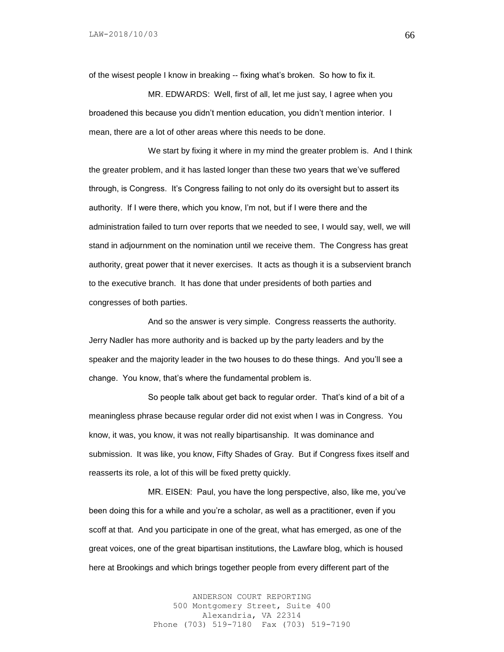of the wisest people I know in breaking -- fixing what's broken. So how to fix it.

MR. EDWARDS: Well, first of all, let me just say, I agree when you broadened this because you didn't mention education, you didn't mention interior. I mean, there are a lot of other areas where this needs to be done.

We start by fixing it where in my mind the greater problem is. And I think the greater problem, and it has lasted longer than these two years that we've suffered through, is Congress. It's Congress failing to not only do its oversight but to assert its authority. If I were there, which you know, I'm not, but if I were there and the administration failed to turn over reports that we needed to see, I would say, well, we will stand in adjournment on the nomination until we receive them. The Congress has great authority, great power that it never exercises. It acts as though it is a subservient branch to the executive branch. It has done that under presidents of both parties and congresses of both parties.

And so the answer is very simple. Congress reasserts the authority. Jerry Nadler has more authority and is backed up by the party leaders and by the speaker and the majority leader in the two houses to do these things. And you'll see a change. You know, that's where the fundamental problem is.

So people talk about get back to regular order. That's kind of a bit of a meaningless phrase because regular order did not exist when I was in Congress. You know, it was, you know, it was not really bipartisanship. It was dominance and submission. It was like, you know, Fifty Shades of Gray. But if Congress fixes itself and reasserts its role, a lot of this will be fixed pretty quickly.

MR. EISEN: Paul, you have the long perspective, also, like me, you've been doing this for a while and you're a scholar, as well as a practitioner, even if you scoff at that. And you participate in one of the great, what has emerged, as one of the great voices, one of the great bipartisan institutions, the Lawfare blog, which is housed here at Brookings and which brings together people from every different part of the

> ANDERSON COURT REPORTING 500 Montgomery Street, Suite 400 Alexandria, VA 22314 Phone (703) 519-7180 Fax (703) 519-7190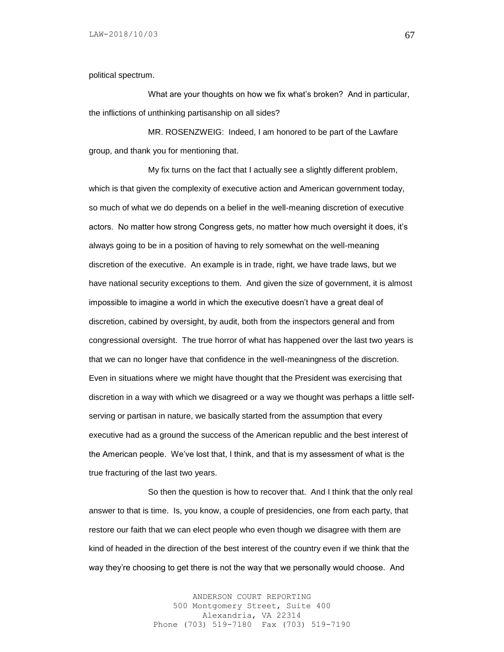political spectrum.

What are your thoughts on how we fix what's broken? And in particular, the inflictions of unthinking partisanship on all sides?

MR. ROSENZWEIG: Indeed, I am honored to be part of the Lawfare group, and thank you for mentioning that.

My fix turns on the fact that I actually see a slightly different problem, which is that given the complexity of executive action and American government today, so much of what we do depends on a belief in the well-meaning discretion of executive actors. No matter how strong Congress gets, no matter how much oversight it does, it's always going to be in a position of having to rely somewhat on the well-meaning discretion of the executive. An example is in trade, right, we have trade laws, but we have national security exceptions to them. And given the size of government, it is almost impossible to imagine a world in which the executive doesn't have a great deal of discretion, cabined by oversight, by audit, both from the inspectors general and from congressional oversight. The true horror of what has happened over the last two years is that we can no longer have that confidence in the well-meaningness of the discretion. Even in situations where we might have thought that the President was exercising that discretion in a way with which we disagreed or a way we thought was perhaps a little selfserving or partisan in nature, we basically started from the assumption that every executive had as a ground the success of the American republic and the best interest of the American people. We've lost that, I think, and that is my assessment of what is the true fracturing of the last two years.

So then the question is how to recover that. And I think that the only real answer to that is time. Is, you know, a couple of presidencies, one from each party, that restore our faith that we can elect people who even though we disagree with them are kind of headed in the direction of the best interest of the country even if we think that the way they're choosing to get there is not the way that we personally would choose. And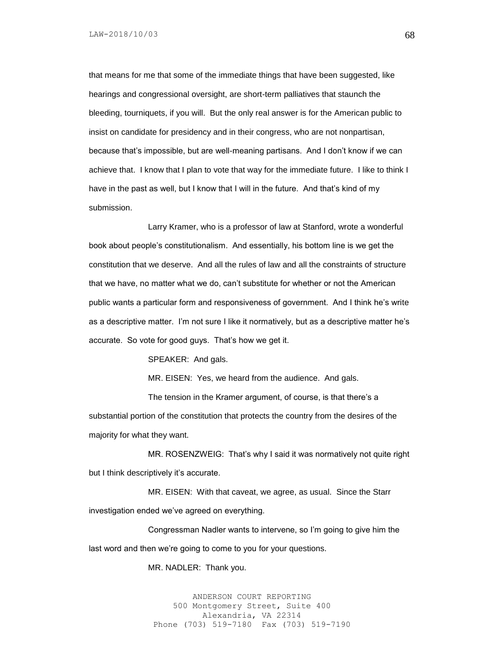that means for me that some of the immediate things that have been suggested, like hearings and congressional oversight, are short-term palliatives that staunch the bleeding, tourniquets, if you will. But the only real answer is for the American public to insist on candidate for presidency and in their congress, who are not nonpartisan, because that's impossible, but are well-meaning partisans. And I don't know if we can achieve that. I know that I plan to vote that way for the immediate future. I like to think I have in the past as well, but I know that I will in the future. And that's kind of my submission.

Larry Kramer, who is a professor of law at Stanford, wrote a wonderful book about people's constitutionalism. And essentially, his bottom line is we get the constitution that we deserve. And all the rules of law and all the constraints of structure that we have, no matter what we do, can't substitute for whether or not the American public wants a particular form and responsiveness of government. And I think he's write as a descriptive matter. I'm not sure I like it normatively, but as a descriptive matter he's accurate. So vote for good guys. That's how we get it.

SPEAKER: And gals.

MR. EISEN: Yes, we heard from the audience. And gals.

The tension in the Kramer argument, of course, is that there's a substantial portion of the constitution that protects the country from the desires of the majority for what they want.

MR. ROSENZWEIG: That's why I said it was normatively not quite right but I think descriptively it's accurate.

MR. EISEN: With that caveat, we agree, as usual. Since the Starr investigation ended we've agreed on everything.

Congressman Nadler wants to intervene, so I'm going to give him the last word and then we're going to come to you for your questions.

MR. NADLER: Thank you.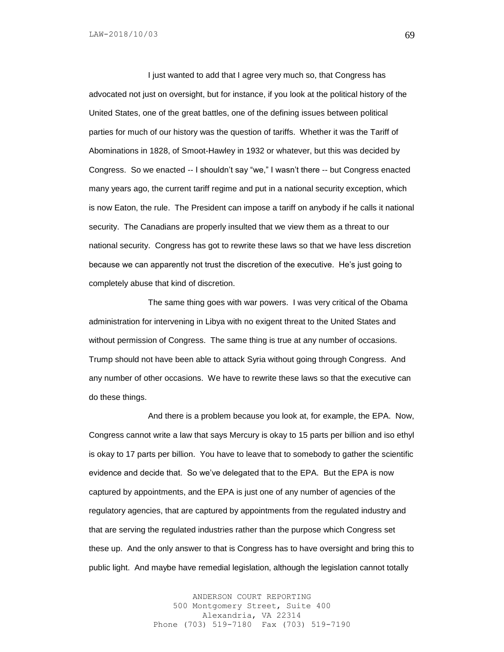I just wanted to add that I agree very much so, that Congress has advocated not just on oversight, but for instance, if you look at the political history of the United States, one of the great battles, one of the defining issues between political parties for much of our history was the question of tariffs. Whether it was the Tariff of Abominations in 1828, of Smoot-Hawley in 1932 or whatever, but this was decided by Congress. So we enacted -- I shouldn't say "we," I wasn't there -- but Congress enacted many years ago, the current tariff regime and put in a national security exception, which is now Eaton, the rule. The President can impose a tariff on anybody if he calls it national security. The Canadians are properly insulted that we view them as a threat to our national security. Congress has got to rewrite these laws so that we have less discretion because we can apparently not trust the discretion of the executive. He's just going to completely abuse that kind of discretion.

The same thing goes with war powers. I was very critical of the Obama administration for intervening in Libya with no exigent threat to the United States and without permission of Congress. The same thing is true at any number of occasions. Trump should not have been able to attack Syria without going through Congress. And any number of other occasions. We have to rewrite these laws so that the executive can do these things.

And there is a problem because you look at, for example, the EPA. Now, Congress cannot write a law that says Mercury is okay to 15 parts per billion and iso ethyl is okay to 17 parts per billion. You have to leave that to somebody to gather the scientific evidence and decide that. So we've delegated that to the EPA. But the EPA is now captured by appointments, and the EPA is just one of any number of agencies of the regulatory agencies, that are captured by appointments from the regulated industry and that are serving the regulated industries rather than the purpose which Congress set these up. And the only answer to that is Congress has to have oversight and bring this to public light. And maybe have remedial legislation, although the legislation cannot totally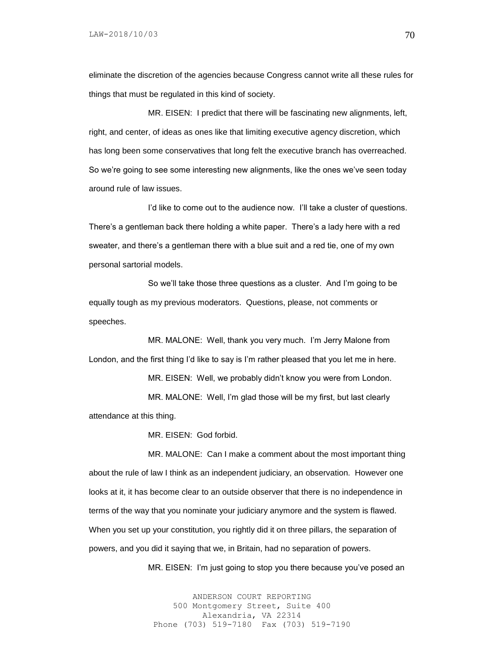eliminate the discretion of the agencies because Congress cannot write all these rules for things that must be regulated in this kind of society.

MR. EISEN: I predict that there will be fascinating new alignments, left, right, and center, of ideas as ones like that limiting executive agency discretion, which has long been some conservatives that long felt the executive branch has overreached. So we're going to see some interesting new alignments, like the ones we've seen today around rule of law issues.

I'd like to come out to the audience now. I'll take a cluster of questions. There's a gentleman back there holding a white paper. There's a lady here with a red sweater, and there's a gentleman there with a blue suit and a red tie, one of my own personal sartorial models.

So we'll take those three questions as a cluster. And I'm going to be equally tough as my previous moderators. Questions, please, not comments or speeches.

MR. MALONE: Well, thank you very much. I'm Jerry Malone from London, and the first thing I'd like to say is I'm rather pleased that you let me in here.

MR. EISEN: Well, we probably didn't know you were from London.

MR. MALONE: Well, I'm glad those will be my first, but last clearly attendance at this thing.

MR. EISEN: God forbid.

MR. MALONE: Can I make a comment about the most important thing about the rule of law I think as an independent judiciary, an observation. However one looks at it, it has become clear to an outside observer that there is no independence in terms of the way that you nominate your judiciary anymore and the system is flawed. When you set up your constitution, you rightly did it on three pillars, the separation of powers, and you did it saying that we, in Britain, had no separation of powers.

MR. EISEN: I'm just going to stop you there because you've posed an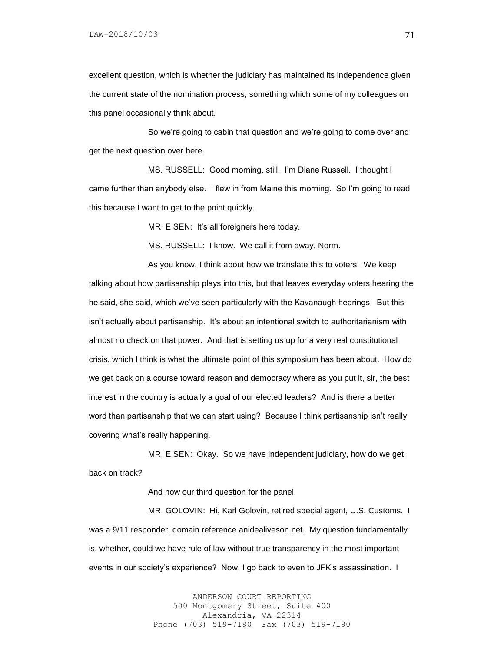excellent question, which is whether the judiciary has maintained its independence given the current state of the nomination process, something which some of my colleagues on this panel occasionally think about.

So we're going to cabin that question and we're going to come over and get the next question over here.

MS. RUSSELL: Good morning, still. I'm Diane Russell. I thought I came further than anybody else. I flew in from Maine this morning. So I'm going to read this because I want to get to the point quickly.

MR. EISEN: It's all foreigners here today.

MS. RUSSELL: I know. We call it from away, Norm.

As you know, I think about how we translate this to voters. We keep talking about how partisanship plays into this, but that leaves everyday voters hearing the he said, she said, which we've seen particularly with the Kavanaugh hearings. But this isn't actually about partisanship. It's about an intentional switch to authoritarianism with almost no check on that power. And that is setting us up for a very real constitutional crisis, which I think is what the ultimate point of this symposium has been about. How do we get back on a course toward reason and democracy where as you put it, sir, the best interest in the country is actually a goal of our elected leaders? And is there a better word than partisanship that we can start using? Because I think partisanship isn't really covering what's really happening.

MR. EISEN: Okay. So we have independent judiciary, how do we get back on track?

And now our third question for the panel.

MR. GOLOVIN: Hi, Karl Golovin, retired special agent, U.S. Customs. I was a 9/11 responder, domain reference anidealiveson.net. My question fundamentally is, whether, could we have rule of law without true transparency in the most important events in our society's experience? Now, I go back to even to JFK's assassination. I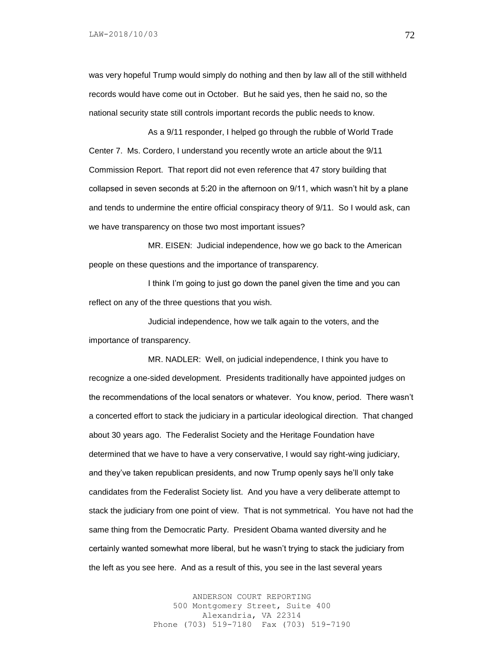was very hopeful Trump would simply do nothing and then by law all of the still withheld records would have come out in October. But he said yes, then he said no, so the national security state still controls important records the public needs to know.

As a 9/11 responder, I helped go through the rubble of World Trade Center 7. Ms. Cordero, I understand you recently wrote an article about the 9/11 Commission Report. That report did not even reference that 47 story building that collapsed in seven seconds at 5:20 in the afternoon on 9/11, which wasn't hit by a plane and tends to undermine the entire official conspiracy theory of 9/11. So I would ask, can we have transparency on those two most important issues?

MR. EISEN: Judicial independence, how we go back to the American people on these questions and the importance of transparency.

I think I'm going to just go down the panel given the time and you can reflect on any of the three questions that you wish.

Judicial independence, how we talk again to the voters, and the importance of transparency.

MR. NADLER: Well, on judicial independence, I think you have to recognize a one-sided development. Presidents traditionally have appointed judges on the recommendations of the local senators or whatever. You know, period. There wasn't a concerted effort to stack the judiciary in a particular ideological direction. That changed about 30 years ago. The Federalist Society and the Heritage Foundation have determined that we have to have a very conservative, I would say right-wing judiciary, and they've taken republican presidents, and now Trump openly says he'll only take candidates from the Federalist Society list. And you have a very deliberate attempt to stack the judiciary from one point of view. That is not symmetrical. You have not had the same thing from the Democratic Party. President Obama wanted diversity and he certainly wanted somewhat more liberal, but he wasn't trying to stack the judiciary from the left as you see here. And as a result of this, you see in the last several years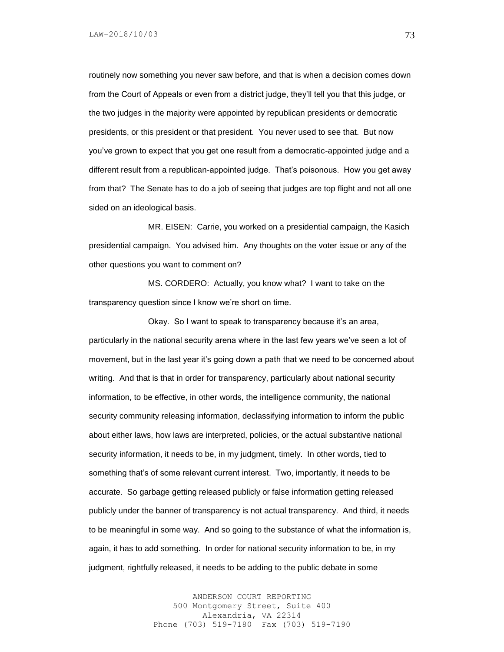routinely now something you never saw before, and that is when a decision comes down from the Court of Appeals or even from a district judge, they'll tell you that this judge, or the two judges in the majority were appointed by republican presidents or democratic presidents, or this president or that president. You never used to see that. But now you've grown to expect that you get one result from a democratic-appointed judge and a different result from a republican-appointed judge. That's poisonous. How you get away from that? The Senate has to do a job of seeing that judges are top flight and not all one sided on an ideological basis.

MR. EISEN: Carrie, you worked on a presidential campaign, the Kasich presidential campaign. You advised him. Any thoughts on the voter issue or any of the other questions you want to comment on?

MS. CORDERO: Actually, you know what? I want to take on the transparency question since I know we're short on time.

Okay. So I want to speak to transparency because it's an area, particularly in the national security arena where in the last few years we've seen a lot of movement, but in the last year it's going down a path that we need to be concerned about writing. And that is that in order for transparency, particularly about national security information, to be effective, in other words, the intelligence community, the national security community releasing information, declassifying information to inform the public about either laws, how laws are interpreted, policies, or the actual substantive national security information, it needs to be, in my judgment, timely. In other words, tied to something that's of some relevant current interest. Two, importantly, it needs to be accurate. So garbage getting released publicly or false information getting released publicly under the banner of transparency is not actual transparency. And third, it needs to be meaningful in some way. And so going to the substance of what the information is, again, it has to add something. In order for national security information to be, in my judgment, rightfully released, it needs to be adding to the public debate in some

> ANDERSON COURT REPORTING 500 Montgomery Street, Suite 400 Alexandria, VA 22314 Phone (703) 519-7180 Fax (703) 519-7190

73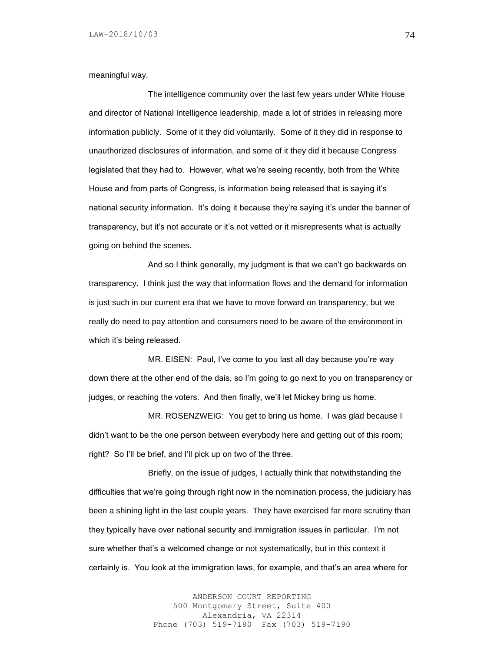meaningful way.

The intelligence community over the last few years under White House and director of National Intelligence leadership, made a lot of strides in releasing more information publicly. Some of it they did voluntarily. Some of it they did in response to unauthorized disclosures of information, and some of it they did it because Congress legislated that they had to. However, what we're seeing recently, both from the White House and from parts of Congress, is information being released that is saying it's national security information. It's doing it because they're saying it's under the banner of transparency, but it's not accurate or it's not vetted or it misrepresents what is actually going on behind the scenes.

And so I think generally, my judgment is that we can't go backwards on transparency. I think just the way that information flows and the demand for information is just such in our current era that we have to move forward on transparency, but we really do need to pay attention and consumers need to be aware of the environment in which it's being released.

MR. EISEN: Paul, I've come to you last all day because you're way down there at the other end of the dais, so I'm going to go next to you on transparency or judges, or reaching the voters. And then finally, we'll let Mickey bring us home.

MR. ROSENZWEIG: You get to bring us home. I was glad because I didn't want to be the one person between everybody here and getting out of this room; right? So I'll be brief, and I'll pick up on two of the three.

Briefly, on the issue of judges, I actually think that notwithstanding the difficulties that we're going through right now in the nomination process, the judiciary has been a shining light in the last couple years. They have exercised far more scrutiny than they typically have over national security and immigration issues in particular. I'm not sure whether that's a welcomed change or not systematically, but in this context it certainly is. You look at the immigration laws, for example, and that's an area where for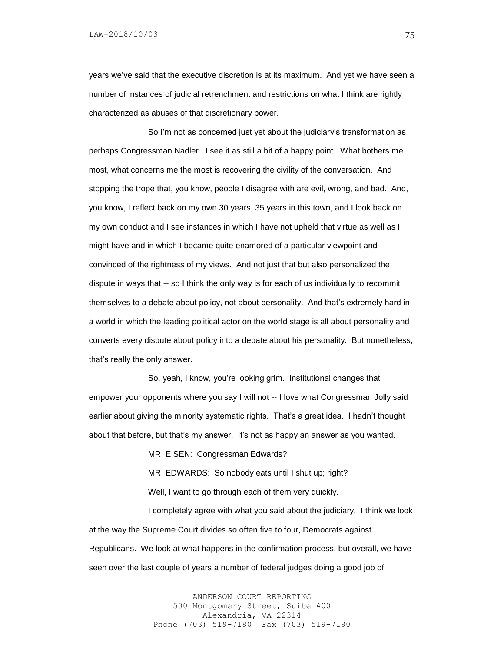years we've said that the executive discretion is at its maximum. And yet we have seen a number of instances of judicial retrenchment and restrictions on what I think are rightly characterized as abuses of that discretionary power.

So I'm not as concerned just yet about the judiciary's transformation as perhaps Congressman Nadler. I see it as still a bit of a happy point. What bothers me most, what concerns me the most is recovering the civility of the conversation. And stopping the trope that, you know, people I disagree with are evil, wrong, and bad. And, you know, I reflect back on my own 30 years, 35 years in this town, and I look back on my own conduct and I see instances in which I have not upheld that virtue as well as I might have and in which I became quite enamored of a particular viewpoint and convinced of the rightness of my views. And not just that but also personalized the dispute in ways that -- so I think the only way is for each of us individually to recommit themselves to a debate about policy, not about personality. And that's extremely hard in a world in which the leading political actor on the world stage is all about personality and converts every dispute about policy into a debate about his personality. But nonetheless, that's really the only answer.

So, yeah, I know, you're looking grim. Institutional changes that empower your opponents where you say I will not -- I love what Congressman Jolly said earlier about giving the minority systematic rights. That's a great idea. I hadn't thought about that before, but that's my answer. It's not as happy an answer as you wanted.

MR. EISEN: Congressman Edwards?

MR. EDWARDS: So nobody eats until I shut up; right? Well, I want to go through each of them very quickly.

I completely agree with what you said about the judiciary. I think we look at the way the Supreme Court divides so often five to four, Democrats against Republicans. We look at what happens in the confirmation process, but overall, we have seen over the last couple of years a number of federal judges doing a good job of

> ANDERSON COURT REPORTING 500 Montgomery Street, Suite 400 Alexandria, VA 22314 Phone (703) 519-7180 Fax (703) 519-7190

75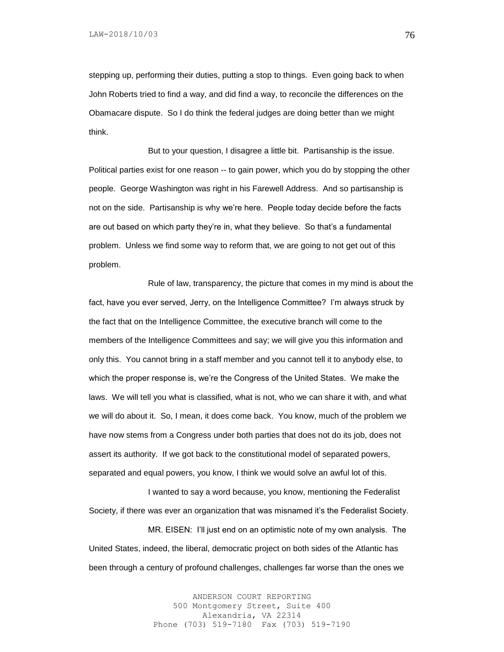stepping up, performing their duties, putting a stop to things. Even going back to when John Roberts tried to find a way, and did find a way, to reconcile the differences on the Obamacare dispute. So I do think the federal judges are doing better than we might think.

But to your question, I disagree a little bit. Partisanship is the issue. Political parties exist for one reason -- to gain power, which you do by stopping the other people. George Washington was right in his Farewell Address. And so partisanship is not on the side. Partisanship is why we're here. People today decide before the facts are out based on which party they're in, what they believe. So that's a fundamental problem. Unless we find some way to reform that, we are going to not get out of this problem.

Rule of law, transparency, the picture that comes in my mind is about the fact, have you ever served, Jerry, on the Intelligence Committee? I'm always struck by the fact that on the Intelligence Committee, the executive branch will come to the members of the Intelligence Committees and say; we will give you this information and only this. You cannot bring in a staff member and you cannot tell it to anybody else, to which the proper response is, we're the Congress of the United States. We make the laws. We will tell you what is classified, what is not, who we can share it with, and what we will do about it. So, I mean, it does come back. You know, much of the problem we have now stems from a Congress under both parties that does not do its job, does not assert its authority. If we got back to the constitutional model of separated powers, separated and equal powers, you know, I think we would solve an awful lot of this.

I wanted to say a word because, you know, mentioning the Federalist Society, if there was ever an organization that was misnamed it's the Federalist Society.

MR. EISEN: I'll just end on an optimistic note of my own analysis. The United States, indeed, the liberal, democratic project on both sides of the Atlantic has been through a century of profound challenges, challenges far worse than the ones we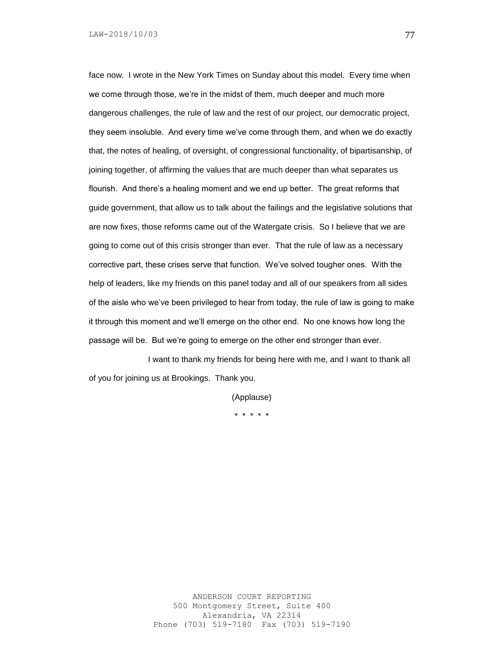face now. I wrote in the New York Times on Sunday about this model. Every time when we come through those, we're in the midst of them, much deeper and much more dangerous challenges, the rule of law and the rest of our project, our democratic project, they seem insoluble. And every time we've come through them, and when we do exactly that, the notes of healing, of oversight, of congressional functionality, of bipartisanship, of joining together, of affirming the values that are much deeper than what separates us flourish. And there's a healing moment and we end up better. The great reforms that guide government, that allow us to talk about the failings and the legislative solutions that are now fixes, those reforms came out of the Watergate crisis. So I believe that we are going to come out of this crisis stronger than ever. That the rule of law as a necessary corrective part, these crises serve that function. We've solved tougher ones. With the help of leaders, like my friends on this panel today and all of our speakers from all sides of the aisle who we've been privileged to hear from today, the rule of law is going to make it through this moment and we'll emerge on the other end. No one knows how long the passage will be. But we're going to emerge on the other end stronger than ever.

I want to thank my friends for being here with me, and I want to thank all of you for joining us at Brookings. Thank you.

> (Applause) \* \* \* \* \*